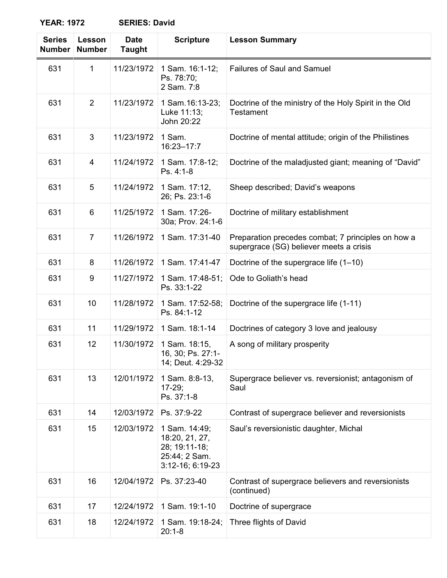| <b>Series</b><br><b>Number</b> | Lesson<br><b>Number</b> | <b>Date</b><br><b>Taught</b> | <b>Scripture</b>                                                                        | <b>Lesson Summary</b>                                                                         |
|--------------------------------|-------------------------|------------------------------|-----------------------------------------------------------------------------------------|-----------------------------------------------------------------------------------------------|
| 631                            | 1                       | 11/23/1972                   | 1 Sam. 16:1-12;<br>Ps. 78:70;<br>2 Sam. 7:8                                             | <b>Failures of Saul and Samuel</b>                                                            |
| 631                            | 2                       | 11/23/1972                   | 1 Sam. 16:13-23;<br>Luke 11:13;<br>John 20:22                                           | Doctrine of the ministry of the Holy Spirit in the Old<br><b>Testament</b>                    |
| 631                            | 3                       | 11/23/1972                   | 1 Sam.<br>16:23-17:7                                                                    | Doctrine of mental attitude; origin of the Philistines                                        |
| 631                            | 4                       | 11/24/1972                   | 1 Sam. 17:8-12;<br>Ps. 4:1-8                                                            | Doctrine of the maladjusted giant; meaning of "David"                                         |
| 631                            | 5                       | 11/24/1972                   | 1 Sam. 17:12,<br>26; Ps. 23:1-6                                                         | Sheep described; David's weapons                                                              |
| 631                            | 6                       | 11/25/1972                   | 1 Sam. 17:26-<br>30a; Prov. 24:1-6                                                      | Doctrine of military establishment                                                            |
| 631                            | 7                       | 11/26/1972                   | 1 Sam. 17:31-40                                                                         | Preparation precedes combat; 7 principles on how a<br>supergrace (SG) believer meets a crisis |
| 631                            | 8                       | 11/26/1972                   | 1 Sam. 17:41-47                                                                         | Doctrine of the supergrace life (1-10)                                                        |
| 631                            | 9                       | 11/27/1972                   | 1 Sam. 17:48-51;<br>Ps. 33:1-22                                                         | Ode to Goliath's head                                                                         |
| 631                            | 10                      | 11/28/1972                   | 1 Sam. 17:52-58;<br>Ps. 84:1-12                                                         | Doctrine of the supergrace life (1-11)                                                        |
| 631                            | 11                      | 11/29/1972                   | 1 Sam. 18:1-14                                                                          | Doctrines of category 3 love and jealousy                                                     |
| 631                            | 12                      | 11/30/1972                   | 1 Sam. 18:15,<br>16, 30; Ps. 27:1-<br>14; Deut. 4:29-32                                 | A song of military prosperity                                                                 |
| 631                            | 13                      | 12/01/1972                   | 1 Sam. 8:8-13,<br>$17-29;$<br>Ps. 37:1-8                                                | Supergrace believer vs. reversionist; antagonism of<br>Saul                                   |
| 631                            | 14                      | 12/03/1972                   | Ps. 37:9-22                                                                             | Contrast of supergrace believer and reversionists                                             |
| 631                            | 15                      | 12/03/1972                   | 1 Sam. 14:49;<br>18:20, 21, 27,<br>28; 19:11-18;<br>25:44; 2 Sam.<br>$3:12-16; 6:19-23$ | Saul's reversionistic daughter, Michal                                                        |
| 631                            | 16                      | 12/04/1972                   | Ps. 37:23-40                                                                            | Contrast of supergrace believers and reversionists<br>(continued)                             |
| 631                            | 17                      | 12/24/1972                   | 1 Sam. 19:1-10                                                                          | Doctrine of supergrace                                                                        |
| 631                            | 18                      | 12/24/1972                   | 1 Sam. 19:18-24;<br>$20:1-8$                                                            | Three flights of David                                                                        |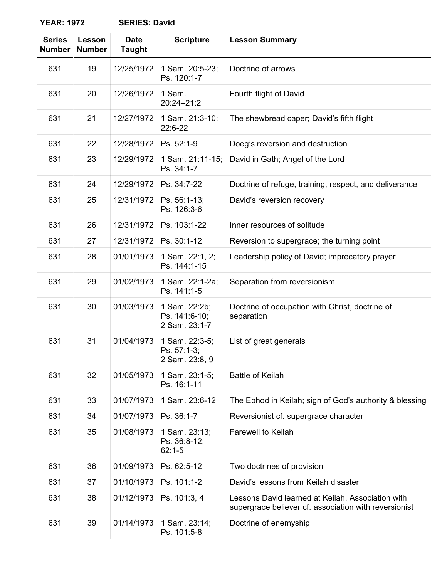| <b>Series</b><br><b>Number</b> | Lesson<br><b>Number</b> | <b>Date</b><br><b>Taught</b> | <b>Scripture</b>                                | <b>Lesson Summary</b>                                                                                      |
|--------------------------------|-------------------------|------------------------------|-------------------------------------------------|------------------------------------------------------------------------------------------------------------|
| 631                            | 19                      | 12/25/1972                   | 1 Sam. 20:5-23;<br>Ps. 120:1-7                  | Doctrine of arrows                                                                                         |
| 631                            | 20                      | 12/26/1972                   | 1 Sam.<br>$20:24 - 21:2$                        | Fourth flight of David                                                                                     |
| 631                            | 21                      | 12/27/1972                   | 1 Sam. 21:3-10;<br>22:6-22                      | The shewbread caper; David's fifth flight                                                                  |
| 631                            | 22                      | 12/28/1972                   | Ps. 52:1-9                                      | Doeg's reversion and destruction                                                                           |
| 631                            | 23                      | 12/29/1972                   | 1 Sam. 21:11-15;<br>Ps. 34:1-7                  | David in Gath; Angel of the Lord                                                                           |
| 631                            | 24                      | 12/29/1972                   | Ps. 34:7-22                                     | Doctrine of refuge, training, respect, and deliverance                                                     |
| 631                            | 25                      | 12/31/1972                   | Ps. 56:1-13;<br>Ps. 126:3-6                     | David's reversion recovery                                                                                 |
| 631                            | 26                      | 12/31/1972                   | Ps. 103:1-22                                    | Inner resources of solitude                                                                                |
| 631                            | 27                      | 12/31/1972                   | Ps. 30:1-12                                     | Reversion to supergrace; the turning point                                                                 |
| 631                            | 28                      | 01/01/1973                   | 1 Sam. 22:1, 2;<br>Ps. 144:1-15                 | Leadership policy of David; imprecatory prayer                                                             |
| 631                            | 29                      | 01/02/1973                   | 1 Sam. 22:1-2a;<br>Ps. 141:1-5                  | Separation from reversionism                                                                               |
| 631                            | 30                      | 01/03/1973                   | 1 Sam. 22:2b;<br>Ps. 141:6-10;<br>2 Sam. 23:1-7 | Doctrine of occupation with Christ, doctrine of<br>separation                                              |
| 631                            | 31                      | 01/04/1973                   | 1 Sam. 22:3-5;<br>Ps. 57:1-3;<br>2 Sam. 23:8, 9 | List of great generals                                                                                     |
| 631                            | 32                      | 01/05/1973                   | 1 Sam. 23:1-5;<br>Ps. 16:1-11                   | <b>Battle of Keilah</b>                                                                                    |
| 631                            | 33                      | 01/07/1973                   | 1 Sam. 23:6-12                                  | The Ephod in Keilah; sign of God's authority & blessing                                                    |
| 631                            | 34                      | 01/07/1973                   | Ps. 36:1-7                                      | Reversionist cf. supergrace character                                                                      |
| 631                            | 35                      | 01/08/1973                   | 1 Sam. 23:13;<br>Ps. 36:8-12;<br>$62:1 - 5$     | <b>Farewell to Keilah</b>                                                                                  |
| 631                            | 36                      | 01/09/1973                   | Ps. 62:5-12                                     | Two doctrines of provision                                                                                 |
| 631                            | 37                      | 01/10/1973                   | Ps. 101:1-2                                     | David's lessons from Keilah disaster                                                                       |
| 631                            | 38                      | 01/12/1973                   | Ps. 101:3, 4                                    | Lessons David learned at Keilah. Association with<br>supergrace believer cf. association with reversionist |
| 631                            | 39                      | 01/14/1973                   | 1 Sam. 23:14;<br>Ps. 101:5-8                    | Doctrine of enemyship                                                                                      |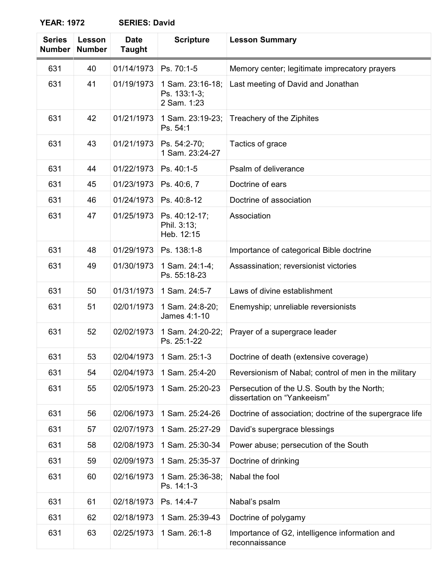| <b>Series</b><br><b>Number</b> | Lesson<br><b>Number</b> | <b>Date</b><br><b>Taught</b> | <b>Scripture</b>                                | <b>Lesson Summary</b>                                                      |
|--------------------------------|-------------------------|------------------------------|-------------------------------------------------|----------------------------------------------------------------------------|
| 631                            | 40                      | 01/14/1973                   | Ps. 70:1-5                                      | Memory center; legitimate imprecatory prayers                              |
| 631                            | 41                      | 01/19/1973                   | 1 Sam. 23:16-18;<br>Ps. 133:1-3;<br>2 Sam. 1:23 | Last meeting of David and Jonathan                                         |
| 631                            | 42                      | 01/21/1973                   | 1 Sam. 23:19-23;<br>Ps. 54:1                    | Treachery of the Ziphites                                                  |
| 631                            | 43                      | 01/21/1973                   | Ps. 54:2-70;<br>1 Sam. 23:24-27                 | Tactics of grace                                                           |
| 631                            | 44                      | 01/22/1973                   | Ps. 40:1-5                                      | Psalm of deliverance                                                       |
| 631                            | 45                      | 01/23/1973                   | Ps. 40:6, 7                                     | Doctrine of ears                                                           |
| 631                            | 46                      | 01/24/1973                   | Ps. 40:8-12                                     | Doctrine of association                                                    |
| 631                            | 47                      | 01/25/1973                   | Ps. 40:12-17;<br>Phil. 3:13;<br>Heb. 12:15      | Association                                                                |
| 631                            | 48                      | 01/29/1973                   | Ps. 138:1-8                                     | Importance of categorical Bible doctrine                                   |
| 631                            | 49                      | 01/30/1973                   | 1 Sam. 24:1-4;<br>Ps. 55:18-23                  | Assassination; reversionist victories                                      |
| 631                            | 50                      | 01/31/1973                   | 1 Sam. 24:5-7                                   | Laws of divine establishment                                               |
| 631                            | 51                      | 02/01/1973                   | 1 Sam. 24:8-20;<br>James 4:1-10                 | Enemyship; unreliable reversionists                                        |
| 631                            | 52                      | 02/02/1973                   | 1 Sam. 24:20-22;<br>Ps. 25:1-22                 | Prayer of a supergrace leader                                              |
| 631                            | 53                      | 02/04/1973                   | 1 Sam. 25:1-3                                   | Doctrine of death (extensive coverage)                                     |
| 631                            | 54                      | 02/04/1973                   | 1 Sam. 25:4-20                                  | Reversionism of Nabal; control of men in the military                      |
| 631                            | 55                      | 02/05/1973                   | 1 Sam. 25:20-23                                 | Persecution of the U.S. South by the North;<br>dissertation on "Yankeeism" |
| 631                            | 56                      | 02/06/1973                   | 1 Sam. 25:24-26                                 | Doctrine of association; doctrine of the supergrace life                   |
| 631                            | 57                      | 02/07/1973                   | 1 Sam. 25:27-29                                 | David's supergrace blessings                                               |
| 631                            | 58                      | 02/08/1973                   | 1 Sam. 25:30-34                                 | Power abuse; persecution of the South                                      |
| 631                            | 59                      | 02/09/1973                   | 1 Sam. 25:35-37                                 | Doctrine of drinking                                                       |
| 631                            | 60                      | 02/16/1973                   | 1 Sam. 25:36-38;<br>Ps. 14:1-3                  | Nabal the fool                                                             |
| 631                            | 61                      | 02/18/1973                   | Ps. 14:4-7                                      | Nabal's psalm                                                              |
| 631                            | 62                      | 02/18/1973                   | 1 Sam. 25:39-43                                 | Doctrine of polygamy                                                       |
| 631                            | 63                      | 02/25/1973                   | 1 Sam. 26:1-8                                   | Importance of G2, intelligence information and<br>reconnaissance           |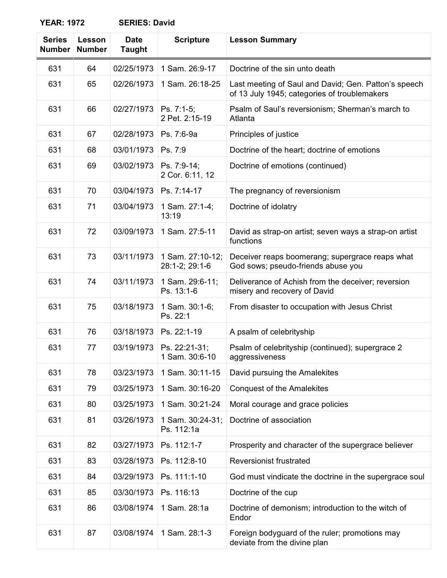| <b>Series</b><br><b>Number</b> | Lesson<br><b>Number</b> | <b>Date</b><br><b>Taught</b> | <b>Scripture</b>                   | <b>Lesson Summary</b>                                                                                |
|--------------------------------|-------------------------|------------------------------|------------------------------------|------------------------------------------------------------------------------------------------------|
| 631                            | 64                      | 02/25/1973                   | 1 Sam. 26:9-17                     | Doctrine of the sin unto death                                                                       |
| 631                            | 65                      | 02/26/1973                   | 1 Sam. 26:18-25                    | Last meeting of Saul and David; Gen. Patton's speech<br>of 13 July 1945; categories of troublemakers |
| 631                            | 66                      | 02/27/1973                   | Ps. 7:1-5;<br>2 Pet. 2:15-19       | Psalm of Saul's reversionism; Sherman's march to<br>Atlanta                                          |
| 631                            | 67                      | 02/28/1973                   | Ps. 7:6-9a                         | Principles of justice                                                                                |
| 631                            | 68                      | 03/01/1973                   | Ps. 7:9                            | Doctrine of the heart; doctrine of emotions                                                          |
| 631                            | 69                      | 03/02/1973                   | Ps. 7:9-14;<br>2 Cor. 6:11, 12     | Doctrine of emotions (continued)                                                                     |
| 631                            | 70                      | 03/04/1973                   | Ps. 7:14-17                        | The pregnancy of reversionism                                                                        |
| 631                            | 71                      | 03/04/1973                   | 1 Sam. 27:1-4;<br>13:19            | Doctrine of idolatry                                                                                 |
| 631                            | 72                      | 03/09/1973                   | 1 Sam. 27:5-11                     | David as strap-on artist; seven ways a strap-on artist<br>functions                                  |
| 631                            | 73                      | 03/11/1973                   | 1 Sam. 27:10-12;<br>28:1-2; 29:1-6 | Deceiver reaps boomerang; supergrace reaps what<br>God sows; pseudo-friends abuse you                |
| 631                            | 74                      | 03/11/1973                   | 1 Sam. 29:6-11;<br>Ps. 13:1-6      | Deliverance of Achish from the deceiver; reversion<br>misery and recovery of David                   |
| 631                            | 75                      | 03/18/1973                   | 1 Sam. 30:1-6;<br>Ps. 22:1         | From disaster to occupation with Jesus Christ                                                        |
| 631                            | 76                      | 03/18/1973                   | Ps. 22:1-19                        | A psalm of celebrityship                                                                             |
| 631                            | 77                      | 03/19/1973                   | Ps. 22:21-31;<br>1 Sam. 30:6-10    | Psalm of celebrityship (continued); supergrace 2<br>aggressiveness                                   |
| 631                            | 78                      | 03/23/1973                   | 1 Sam. 30:11-15                    | David pursuing the Amalekites                                                                        |
| 631                            | 79                      | 03/25/1973                   | 1 Sam. 30:16-20                    | <b>Conquest of the Amalekites</b>                                                                    |
| 631                            | 80                      | 03/25/1973                   | 1 Sam. 30:21-24                    | Moral courage and grace policies                                                                     |
| 631                            | 81                      | 03/26/1973                   | 1 Sam. 30:24-31;<br>Ps. 112:1a     | Doctrine of association                                                                              |
| 631                            | 82                      | 03/27/1973                   | Ps. 112:1-7                        | Prosperity and character of the supergrace believer                                                  |
| 631                            | 83                      | 03/28/1973                   | Ps. 112:8-10                       | <b>Reversionist frustrated</b>                                                                       |
| 631                            | 84                      | 03/29/1973                   | Ps. 111:1-10                       | God must vindicate the doctrine in the supergrace soul                                               |
| 631                            | 85                      | 03/30/1973                   | Ps. 116:13                         | Doctrine of the cup                                                                                  |
| 631                            | 86                      | 03/08/1974                   | 1 Sam. 28:1a                       | Doctrine of demonism; introduction to the witch of<br>Endor                                          |
| 631                            | 87                      | 03/08/1974                   | 1 Sam. 28:1-3                      | Foreign bodyguard of the ruler; promotions may<br>deviate from the divine plan                       |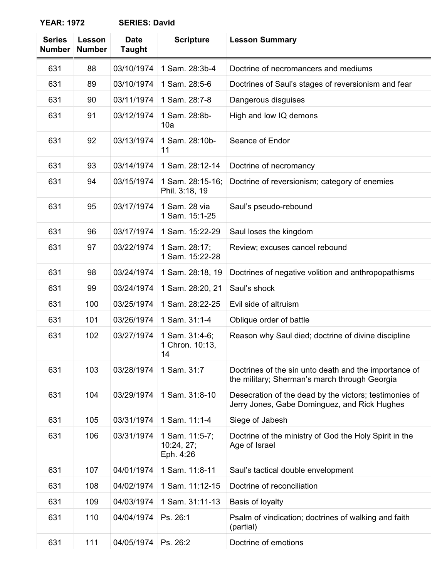| <b>Series</b><br><b>Number</b> | Lesson<br><b>Number</b> | <b>Date</b><br><b>Taught</b> | <b>Scripture</b>                          | <b>Lesson Summary</b>                                                                                  |
|--------------------------------|-------------------------|------------------------------|-------------------------------------------|--------------------------------------------------------------------------------------------------------|
| 631                            | 88                      | 03/10/1974                   | 1 Sam. 28:3b-4                            | Doctrine of necromancers and mediums                                                                   |
| 631                            | 89                      | 03/10/1974                   | 1 Sam. 28:5-6                             | Doctrines of Saul's stages of reversionism and fear                                                    |
| 631                            | 90                      | 03/11/1974                   | 1 Sam. 28:7-8                             | Dangerous disguises                                                                                    |
| 631                            | 91                      | 03/12/1974                   | 1 Sam. 28:8b-<br>10a                      | High and low IQ demons                                                                                 |
| 631                            | 92                      | 03/13/1974                   | 1 Sam. 28:10b-<br>11                      | Seance of Endor                                                                                        |
| 631                            | 93                      | 03/14/1974                   | 1 Sam. 28:12-14                           | Doctrine of necromancy                                                                                 |
| 631                            | 94                      | 03/15/1974                   | 1 Sam. 28:15-16;<br>Phil. 3:18, 19        | Doctrine of reversionism; category of enemies                                                          |
| 631                            | 95                      | 03/17/1974                   | 1 Sam. 28 via<br>1 Sam. 15:1-25           | Saul's pseudo-rebound                                                                                  |
| 631                            | 96                      | 03/17/1974                   | 1 Sam. 15:22-29                           | Saul loses the kingdom                                                                                 |
| 631                            | 97                      | 03/22/1974                   | 1 Sam. 28:17;<br>1 Sam. 15:22-28          | Review; excuses cancel rebound                                                                         |
| 631                            | 98                      | 03/24/1974                   | 1 Sam. 28:18, 19                          | Doctrines of negative volition and anthropopathisms                                                    |
| 631                            | 99                      | 03/24/1974                   | 1 Sam. 28:20, 21                          | Saul's shock                                                                                           |
| 631                            | 100                     | 03/25/1974                   | 1 Sam. 28:22-25                           | Evil side of altruism                                                                                  |
| 631                            | 101                     | 03/26/1974                   | 1 Sam. 31:1-4                             | Oblique order of battle                                                                                |
| 631                            | 102                     | 03/27/1974                   | 1 Sam. 31:4-6;<br>1 Chron. 10:13,<br>14   | Reason why Saul died; doctrine of divine discipline                                                    |
| 631                            | 103                     | 03/28/1974                   | 1 Sam. 31:7                               | Doctrines of the sin unto death and the importance of<br>the military; Sherman's march through Georgia |
| 631                            | 104                     | 03/29/1974                   | 1 Sam. 31:8-10                            | Desecration of the dead by the victors; testimonies of<br>Jerry Jones, Gabe Dominguez, and Rick Hughes |
| 631                            | 105                     | 03/31/1974                   | 1 Sam. 11:1-4                             | Siege of Jabesh                                                                                        |
| 631                            | 106                     | 03/31/1974                   | 1 Sam. 11:5-7;<br>10:24, 27;<br>Eph. 4:26 | Doctrine of the ministry of God the Holy Spirit in the<br>Age of Israel                                |
| 631                            | 107                     | 04/01/1974                   | 1 Sam. 11:8-11                            | Saul's tactical double envelopment                                                                     |
| 631                            | 108                     | 04/02/1974                   | 1 Sam. 11:12-15                           | Doctrine of reconciliation                                                                             |
| 631                            | 109                     | 04/03/1974                   | 1 Sam. 31:11-13                           | Basis of loyalty                                                                                       |
| 631                            | 110                     | 04/04/1974                   | Ps. 26:1                                  | Psalm of vindication; doctrines of walking and faith<br>(partial)                                      |
| 631                            | 111                     | 04/05/1974                   | Ps. 26:2                                  | Doctrine of emotions                                                                                   |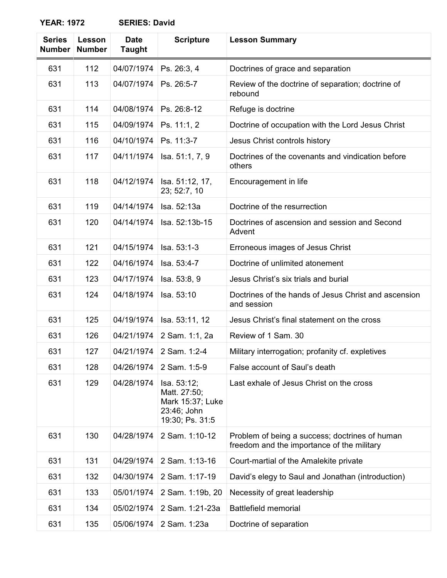| <b>Series</b><br><b>Number</b> | Lesson<br><b>Number</b> | <b>Date</b><br><b>Taught</b> | <b>Scripture</b>                                                                  | <b>Lesson Summary</b>                                                                        |
|--------------------------------|-------------------------|------------------------------|-----------------------------------------------------------------------------------|----------------------------------------------------------------------------------------------|
| 631                            | 112                     | 04/07/1974                   | Ps. 26:3, 4                                                                       | Doctrines of grace and separation                                                            |
| 631                            | 113                     | 04/07/1974                   | Ps. 26:5-7                                                                        | Review of the doctrine of separation; doctrine of<br>rebound                                 |
| 631                            | 114                     | 04/08/1974                   | Ps. 26:8-12                                                                       | Refuge is doctrine                                                                           |
| 631                            | 115                     | 04/09/1974                   | Ps. 11:1, 2                                                                       | Doctrine of occupation with the Lord Jesus Christ                                            |
| 631                            | 116                     | 04/10/1974                   | Ps. 11:3-7                                                                        | Jesus Christ controls history                                                                |
| 631                            | 117                     | 04/11/1974                   | Isa. 51:1, 7, 9                                                                   | Doctrines of the covenants and vindication before<br>others                                  |
| 631                            | 118                     | 04/12/1974                   | Isa. 51:12, 17,<br>23; 52:7, 10                                                   | Encouragement in life                                                                        |
| 631                            | 119                     | 04/14/1974                   | Isa. 52:13a                                                                       | Doctrine of the resurrection                                                                 |
| 631                            | 120                     | 04/14/1974                   | Isa. 52:13b-15                                                                    | Doctrines of ascension and session and Second<br>Advent                                      |
| 631                            | 121                     | 04/15/1974                   | Isa. 53:1-3                                                                       | Erroneous images of Jesus Christ                                                             |
| 631                            | 122                     | 04/16/1974                   | Isa. 53:4-7                                                                       | Doctrine of unlimited atonement                                                              |
| 631                            | 123                     | 04/17/1974                   | Isa. 53:8, 9                                                                      | Jesus Christ's six trials and burial                                                         |
| 631                            | 124                     | 04/18/1974                   | Isa. 53:10                                                                        | Doctrines of the hands of Jesus Christ and ascension<br>and session                          |
| 631                            | 125                     | 04/19/1974                   | Isa. 53:11, 12                                                                    | Jesus Christ's final statement on the cross                                                  |
| 631                            | 126                     | 04/21/1974                   | 2 Sam. 1:1, 2a                                                                    | Review of 1 Sam. 30                                                                          |
| 631                            | 127                     | 04/21/1974                   | 2 Sam. 1:2-4                                                                      | Military interrogation; profanity cf. expletives                                             |
| 631                            | 128                     | 04/26/1974                   | 2 Sam. 1:5-9                                                                      | False account of Saul's death                                                                |
| 631                            | 129                     | 04/28/1974                   | Isa. 53:12;<br>Matt. 27:50;<br>Mark 15:37; Luke<br>23:46; John<br>19:30; Ps. 31:5 | Last exhale of Jesus Christ on the cross                                                     |
| 631                            | 130                     | 04/28/1974                   | 2 Sam. 1:10-12                                                                    | Problem of being a success; doctrines of human<br>freedom and the importance of the military |
| 631                            | 131                     | 04/29/1974                   | 2 Sam. 1:13-16                                                                    | Court-martial of the Amalekite private                                                       |
| 631                            | 132                     | 04/30/1974                   | 2 Sam. 1:17-19                                                                    | David's elegy to Saul and Jonathan (introduction)                                            |
| 631                            | 133                     | 05/01/1974                   | 2 Sam. 1:19b, 20                                                                  | Necessity of great leadership                                                                |
| 631                            | 134                     | 05/02/1974                   | 2 Sam. 1:21-23a                                                                   | <b>Battlefield memorial</b>                                                                  |
| 631                            | 135                     | 05/06/1974                   | 2 Sam. 1:23a                                                                      | Doctrine of separation                                                                       |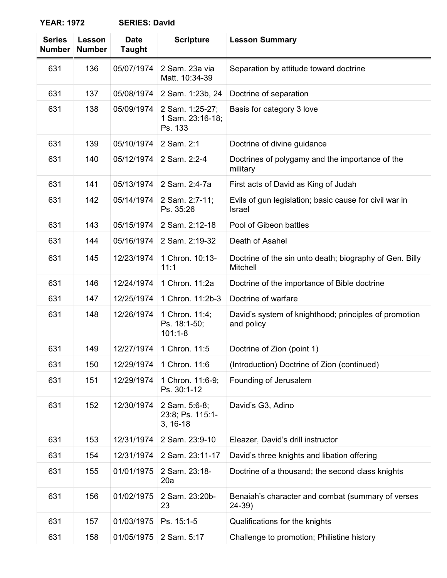| <b>Series</b><br><b>Number</b> | Lesson<br><b>Number</b> | <b>Date</b><br><b>Taught</b> | <b>Scripture</b>                                | <b>Lesson Summary</b>                                                   |
|--------------------------------|-------------------------|------------------------------|-------------------------------------------------|-------------------------------------------------------------------------|
| 631                            | 136                     | 05/07/1974                   | 2 Sam. 23a via<br>Matt. 10:34-39                | Separation by attitude toward doctrine                                  |
| 631                            | 137                     | 05/08/1974                   | 2 Sam. 1:23b, 24                                | Doctrine of separation                                                  |
| 631                            | 138                     | 05/09/1974                   | 2 Sam. 1:25-27;<br>1 Sam. 23:16-18;<br>Ps. 133  | Basis for category 3 love                                               |
| 631                            | 139                     | 05/10/1974                   | 2 Sam. 2:1                                      | Doctrine of divine guidance                                             |
| 631                            | 140                     | 05/12/1974                   | 2 Sam. 2:2-4                                    | Doctrines of polygamy and the importance of the<br>military             |
| 631                            | 141                     | 05/13/1974                   | 2 Sam. 2:4-7a                                   | First acts of David as King of Judah                                    |
| 631                            | 142                     | 05/14/1974                   | 2 Sam. 2:7-11;<br>Ps. 35:26                     | Evils of gun legislation; basic cause for civil war in<br><b>Israel</b> |
| 631                            | 143                     | 05/15/1974                   | 2 Sam. 2:12-18                                  | Pool of Gibeon battles                                                  |
| 631                            | 144                     | 05/16/1974                   | 2 Sam. 2:19-32                                  | Death of Asahel                                                         |
| 631                            | 145                     | 12/23/1974                   | 1 Chron. 10:13-<br>11:1                         | Doctrine of the sin unto death; biography of Gen. Billy<br>Mitchell     |
| 631                            | 146                     | 12/24/1974                   | 1 Chron. 11:2a                                  | Doctrine of the importance of Bible doctrine                            |
| 631                            | 147                     | 12/25/1974                   | 1 Chron. 11:2b-3                                | Doctrine of warfare                                                     |
| 631                            | 148                     | 12/26/1974                   | 1 Chron. 11:4;<br>Ps. 18:1-50;<br>$101:1-8$     | David's system of knighthood; principles of promotion<br>and policy     |
| 631                            | 149                     | 12/27/1974                   | 1 Chron. 11:5                                   | Doctrine of Zion (point 1)                                              |
| 631                            | 150                     | 12/29/1974                   | 1 Chron. 11:6                                   | (Introduction) Doctrine of Zion (continued)                             |
| 631                            | 151                     | 12/29/1974                   | 1 Chron. 11:6-9;<br>Ps. 30:1-12                 | Founding of Jerusalem                                                   |
| 631                            | 152                     | 12/30/1974                   | 2 Sam. 5:6-8;<br>23:8; Ps. 115:1-<br>$3, 16-18$ | David's G3, Adino                                                       |
| 631                            | 153                     | 12/31/1974                   | 2 Sam. 23:9-10                                  | Eleazer, David's drill instructor                                       |
| 631                            | 154                     | 12/31/1974                   | 2 Sam. 23:11-17                                 | David's three knights and libation offering                             |
| 631                            | 155                     | 01/01/1975                   | 2 Sam. 23:18-<br>20a                            | Doctrine of a thousand; the second class knights                        |
| 631                            | 156                     | 01/02/1975                   | 2 Sam. 23:20b-<br>23                            | Benaiah's character and combat (summary of verses<br>24-39)             |
| 631                            | 157                     | 01/03/1975                   | Ps. 15:1-5                                      | Qualifications for the knights                                          |
| 631                            | 158                     | 01/05/1975                   | 2 Sam. 5:17                                     | Challenge to promotion; Philistine history                              |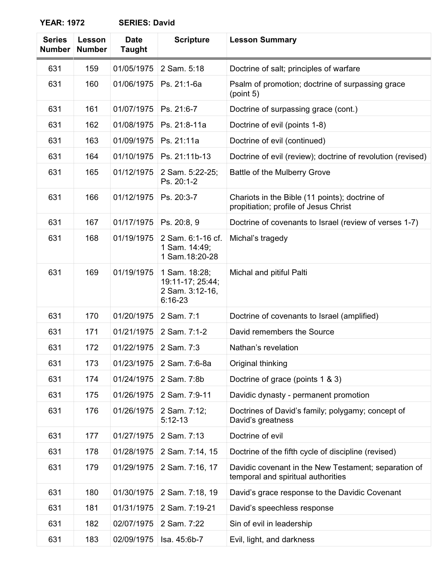| <b>Series</b><br><b>Number</b> | Lesson<br><b>Number</b> | <b>Date</b><br><b>Taught</b> | <b>Scripture</b>                                                  | <b>Lesson Summary</b>                                                                      |
|--------------------------------|-------------------------|------------------------------|-------------------------------------------------------------------|--------------------------------------------------------------------------------------------|
| 631                            | 159                     | 01/05/1975                   | 2 Sam. 5:18                                                       | Doctrine of salt; principles of warfare                                                    |
| 631                            | 160                     | 01/06/1975                   | Ps. 21:1-6a                                                       | Psalm of promotion; doctrine of surpassing grace<br>(point 5)                              |
| 631                            | 161                     | 01/07/1975                   | Ps. 21:6-7                                                        | Doctrine of surpassing grace (cont.)                                                       |
| 631                            | 162                     | 01/08/1975                   | Ps. 21:8-11a                                                      | Doctrine of evil (points 1-8)                                                              |
| 631                            | 163                     | 01/09/1975                   | Ps. 21:11a                                                        | Doctrine of evil (continued)                                                               |
| 631                            | 164                     | 01/10/1975                   | Ps. 21:11b-13                                                     | Doctrine of evil (review); doctrine of revolution (revised)                                |
| 631                            | 165                     | 01/12/1975                   | 2 Sam. 5:22-25;<br>Ps. 20:1-2                                     | Battle of the Mulberry Grove                                                               |
| 631                            | 166                     | 01/12/1975                   | Ps. 20:3-7                                                        | Chariots in the Bible (11 points); doctrine of<br>propitiation; profile of Jesus Christ    |
| 631                            | 167                     | 01/17/1975                   | Ps. 20:8, 9                                                       | Doctrine of covenants to Israel (review of verses 1-7)                                     |
| 631                            | 168                     | 01/19/1975                   | 2 Sam. 6:1-16 cf.<br>1 Sam. 14:49;<br>1 Sam. 18:20-28             | Michal's tragedy                                                                           |
| 631                            | 169                     | 01/19/1975                   | 1 Sam. 18:28;<br>19:11-17; 25:44;<br>2 Sam. 3:12-16,<br>$6:16-23$ | Michal and pitiful Palti                                                                   |
| 631                            | 170                     | 01/20/1975                   | 2 Sam. 7:1                                                        | Doctrine of covenants to Israel (amplified)                                                |
| 631                            | 171                     | 01/21/1975                   | 2 Sam. 7:1-2                                                      | David remembers the Source                                                                 |
| 631                            | 172                     | 01/22/1975                   | 2 Sam. 7:3                                                        | Nathan's revelation                                                                        |
| 631                            | 173                     | 01/23/1975                   | 2 Sam. 7:6-8a                                                     | Original thinking                                                                          |
| 631                            | 174                     | 01/24/1975                   | 2 Sam. 7:8b                                                       | Doctrine of grace (points 1 & 3)                                                           |
| 631                            | 175                     | 01/26/1975                   | 2 Sam. 7:9-11                                                     | Davidic dynasty - permanent promotion                                                      |
| 631                            | 176                     | 01/26/1975                   | 2 Sam. 7:12;<br>$5:12-13$                                         | Doctrines of David's family; polygamy; concept of<br>David's greatness                     |
| 631                            | 177                     | 01/27/1975                   | 2 Sam. 7:13                                                       | Doctrine of evil                                                                           |
| 631                            | 178                     | 01/28/1975                   | 2 Sam. 7:14, 15                                                   | Doctrine of the fifth cycle of discipline (revised)                                        |
| 631                            | 179                     | 01/29/1975                   | 2 Sam. 7:16, 17                                                   | Davidic covenant in the New Testament; separation of<br>temporal and spiritual authorities |
| 631                            | 180                     | 01/30/1975                   | 2 Sam. 7:18, 19                                                   | David's grace response to the Davidic Covenant                                             |
| 631                            | 181                     | 01/31/1975                   | 2 Sam. 7:19-21                                                    | David's speechless response                                                                |
| 631                            | 182                     | 02/07/1975                   | 2 Sam. 7:22                                                       | Sin of evil in leadership                                                                  |
| 631                            | 183                     | 02/09/1975                   | Isa. 45:6b-7                                                      | Evil, light, and darkness                                                                  |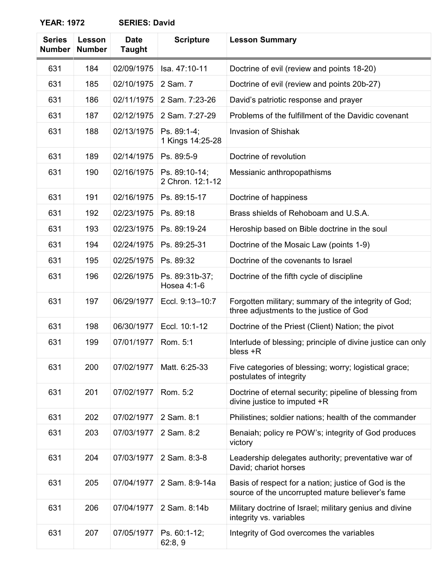| <b>Series</b><br><b>Number</b> | Lesson<br><b>Number</b> | <b>Date</b><br><b>Taught</b> | <b>Scripture</b>                  | <b>Lesson Summary</b>                                                                                    |
|--------------------------------|-------------------------|------------------------------|-----------------------------------|----------------------------------------------------------------------------------------------------------|
| 631                            | 184                     | 02/09/1975                   | Isa. 47:10-11                     | Doctrine of evil (review and points 18-20)                                                               |
| 631                            | 185                     | 02/10/1975                   | 2 Sam. 7                          | Doctrine of evil (review and points 20b-27)                                                              |
| 631                            | 186                     | 02/11/1975                   | 2 Sam. 7:23-26                    | David's patriotic response and prayer                                                                    |
| 631                            | 187                     | 02/12/1975                   | 2 Sam. 7:27-29                    | Problems of the fulfillment of the Davidic covenant                                                      |
| 631                            | 188                     | 02/13/1975                   | Ps. 89:1-4;<br>1 Kings 14:25-28   | <b>Invasion of Shishak</b>                                                                               |
| 631                            | 189                     | 02/14/1975                   | Ps. 89:5-9                        | Doctrine of revolution                                                                                   |
| 631                            | 190                     | 02/16/1975                   | Ps. 89:10-14;<br>2 Chron. 12:1-12 | Messianic anthropopathisms                                                                               |
| 631                            | 191                     | 02/16/1975                   | Ps. 89:15-17                      | Doctrine of happiness                                                                                    |
| 631                            | 192                     | 02/23/1975                   | Ps. 89:18                         | Brass shields of Rehoboam and U.S.A.                                                                     |
| 631                            | 193                     | 02/23/1975                   | Ps. 89:19-24                      | Heroship based on Bible doctrine in the soul                                                             |
| 631                            | 194                     | 02/24/1975                   | Ps. 89:25-31                      | Doctrine of the Mosaic Law (points 1-9)                                                                  |
| 631                            | 195                     | 02/25/1975                   | Ps. 89:32                         | Doctrine of the covenants to Israel                                                                      |
| 631                            | 196                     | 02/26/1975                   | Ps. 89:31b-37;<br>Hosea 4:1-6     | Doctrine of the fifth cycle of discipline                                                                |
| 631                            | 197                     | 06/29/1977                   | Eccl. 9:13-10:7                   | Forgotten military; summary of the integrity of God;<br>three adjustments to the justice of God          |
| 631                            | 198                     | 06/30/1977                   | Eccl. 10:1-12                     | Doctrine of the Priest (Client) Nation; the pivot                                                        |
| 631                            | 199                     | 07/01/1977                   | Rom. 5:1                          | Interlude of blessing; principle of divine justice can only<br>bless +R                                  |
| 631                            | 200                     | 07/02/1977                   | Matt. 6:25-33                     | Five categories of blessing; worry; logistical grace;<br>postulates of integrity                         |
| 631                            | 201                     | 07/02/1977                   | Rom. 5:2                          | Doctrine of eternal security; pipeline of blessing from<br>divine justice to imputed +R                  |
| 631                            | 202                     | 07/02/1977                   | 2 Sam. 8:1                        | Philistines; soldier nations; health of the commander                                                    |
| 631                            | 203                     | 07/03/1977                   | 2 Sam. 8:2                        | Benaiah; policy re POW's; integrity of God produces<br>victory                                           |
| 631                            | 204                     | 07/03/1977                   | 2 Sam. 8:3-8                      | Leadership delegates authority; preventative war of<br>David; chariot horses                             |
| 631                            | 205                     | 07/04/1977                   | 2 Sam. 8:9-14a                    | Basis of respect for a nation; justice of God is the<br>source of the uncorrupted mature believer's fame |
| 631                            | 206                     | 07/04/1977                   | 2 Sam. 8:14b                      | Military doctrine of Israel; military genius and divine<br>integrity vs. variables                       |
| 631                            | 207                     | 07/05/1977                   | Ps. 60:1-12;<br>62:8,9            | Integrity of God overcomes the variables                                                                 |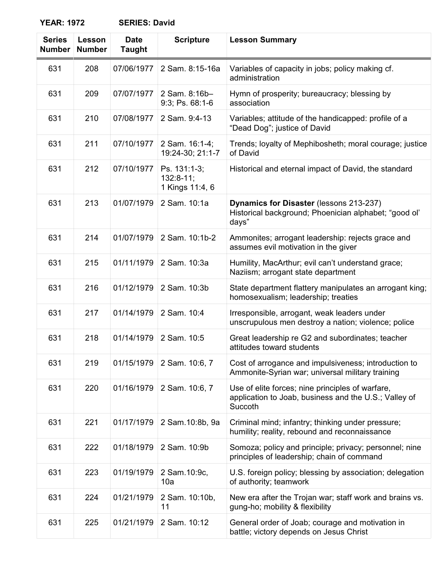| <b>Series</b><br><b>Number</b> | <b>Lesson</b><br><b>Number</b> | <b>Date</b><br><b>Taught</b> | <b>Scripture</b>                               | <b>Lesson Summary</b>                                                                                                |
|--------------------------------|--------------------------------|------------------------------|------------------------------------------------|----------------------------------------------------------------------------------------------------------------------|
| 631                            | 208                            | 07/06/1977                   | 2 Sam. 8:15-16a                                | Variables of capacity in jobs; policy making cf.<br>administration                                                   |
| 631                            | 209                            | 07/07/1977                   | 2 Sam. 8:16b-<br>9:3; Ps. 68:1-6               | Hymn of prosperity; bureaucracy; blessing by<br>association                                                          |
| 631                            | 210                            | 07/08/1977                   | 2 Sam. 9:4-13                                  | Variables; attitude of the handicapped: profile of a<br>"Dead Dog"; justice of David                                 |
| 631                            | 211                            | 07/10/1977                   | 2 Sam. 16:1-4;<br>19:24-30; 21:1-7             | Trends; loyalty of Mephibosheth; moral courage; justice<br>of David                                                  |
| 631                            | 212                            | 07/10/1977                   | Ps. 131:1-3;<br>$132:8-11;$<br>1 Kings 11:4, 6 | Historical and eternal impact of David, the standard                                                                 |
| 631                            | 213                            | 01/07/1979                   | 2 Sam. 10:1a                                   | Dynamics for Disaster (lessons 213-237)<br>Historical background; Phoenician alphabet; "good ol'<br>days"            |
| 631                            | 214                            | 01/07/1979                   | 2 Sam. 10:1b-2                                 | Ammonites; arrogant leadership: rejects grace and<br>assumes evil motivation in the giver                            |
| 631                            | 215                            | 01/11/1979                   | 2 Sam. 10:3a                                   | Humility, MacArthur; evil can't understand grace;<br>Naziism; arrogant state department                              |
| 631                            | 216                            | 01/12/1979                   | 2 Sam. 10:3b                                   | State department flattery manipulates an arrogant king;<br>homosexualism; leadership; treaties                       |
| 631                            | 217                            | 01/14/1979                   | 2 Sam. 10:4                                    | Irresponsible, arrogant, weak leaders under<br>unscrupulous men destroy a nation; violence; police                   |
| 631                            | 218                            | 01/14/1979                   | 2 Sam. 10:5                                    | Great leadership re G2 and subordinates; teacher<br>attitudes toward students                                        |
| 631                            | 219                            | 01/15/1979                   | 2 Sam. 10:6, 7                                 | Cost of arrogance and impulsiveness; introduction to<br>Ammonite-Syrian war; universal military training             |
| 631                            | 220                            | 01/16/1979                   | 2 Sam. 10:6, 7                                 | Use of elite forces; nine principles of warfare,<br>application to Joab, business and the U.S.; Valley of<br>Succoth |
| 631                            | 221                            | 01/17/1979                   | 2 Sam. 10:8b, 9a                               | Criminal mind; infantry; thinking under pressure;<br>humility; reality, rebound and reconnaissance                   |
| 631                            | 222                            | 01/18/1979                   | 2 Sam. 10:9b                                   | Somoza; policy and principle; privacy; personnel; nine<br>principles of leadership; chain of command                 |
| 631                            | 223                            | 01/19/1979                   | 2 Sam.10:9c,<br>10a                            | U.S. foreign policy; blessing by association; delegation<br>of authority; teamwork                                   |
| 631                            | 224                            | 01/21/1979                   | 2 Sam. 10:10b,<br>11                           | New era after the Trojan war; staff work and brains vs.<br>gung-ho; mobility & flexibility                           |
| 631                            | 225                            | 01/21/1979                   | 2 Sam. 10:12                                   | General order of Joab; courage and motivation in<br>battle; victory depends on Jesus Christ                          |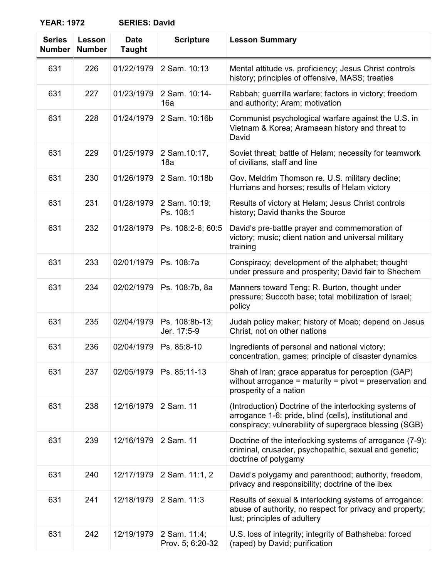| <b>Series</b><br><b>Number</b> | Lesson<br><b>Number</b> | <b>Date</b><br><b>Taught</b> | <b>Scripture</b>                 | <b>Lesson Summary</b>                                                                                                                                                      |
|--------------------------------|-------------------------|------------------------------|----------------------------------|----------------------------------------------------------------------------------------------------------------------------------------------------------------------------|
| 631                            | 226                     | 01/22/1979                   | 2 Sam. 10:13                     | Mental attitude vs. proficiency; Jesus Christ controls<br>history; principles of offensive, MASS; treaties                                                                 |
| 631                            | 227                     | 01/23/1979                   | 2 Sam. 10:14-<br>16a             | Rabbah; guerrilla warfare; factors in victory; freedom<br>and authority; Aram; motivation                                                                                  |
| 631                            | 228                     | 01/24/1979                   | 2 Sam. 10:16b                    | Communist psychological warfare against the U.S. in<br>Vietnam & Korea; Aramaean history and threat to<br>David                                                            |
| 631                            | 229                     | 01/25/1979                   | 2 Sam.10:17,<br>18a              | Soviet threat; battle of Helam; necessity for teamwork<br>of civilians, staff and line                                                                                     |
| 631                            | 230                     | 01/26/1979                   | 2 Sam. 10:18b                    | Gov. Meldrim Thomson re. U.S. military decline;<br>Hurrians and horses; results of Helam victory                                                                           |
| 631                            | 231                     | 01/28/1979                   | 2 Sam. 10:19;<br>Ps. 108:1       | Results of victory at Helam; Jesus Christ controls<br>history; David thanks the Source                                                                                     |
| 631                            | 232                     | 01/28/1979                   | Ps. 108:2-6; 60:5                | David's pre-battle prayer and commemoration of<br>victory; music; client nation and universal military<br>training                                                         |
| 631                            | 233                     | 02/01/1979                   | Ps. 108:7a                       | Conspiracy; development of the alphabet; thought<br>under pressure and prosperity; David fair to Shechem                                                                   |
| 631                            | 234                     | 02/02/1979                   | Ps. 108:7b, 8a                   | Manners toward Teng; R. Burton, thought under<br>pressure; Succoth base; total mobilization of Israel;<br>policy                                                           |
| 631                            | 235                     | 02/04/1979                   | Ps. 108:8b-13;<br>Jer. 17:5-9    | Judah policy maker; history of Moab; depend on Jesus<br>Christ, not on other nations                                                                                       |
| 631                            | 236                     | 02/04/1979                   | Ps. 85:8-10                      | Ingredients of personal and national victory;<br>concentration, games; principle of disaster dynamics                                                                      |
| 631                            | 237                     | 02/05/1979                   | Ps. 85:11-13                     | Shah of Iran; grace apparatus for perception (GAP)<br>without arrogance = maturity = pivot = preservation and<br>prosperity of a nation                                    |
| 631                            | 238                     | 12/16/1979                   | 2 Sam. 11                        | (Introduction) Doctrine of the interlocking systems of<br>arrogance 1-6: pride, blind (cells), institutional and<br>conspiracy; vulnerability of supergrace blessing (SGB) |
| 631                            | 239                     | 12/16/1979                   | 2 Sam. 11                        | Doctrine of the interlocking systems of arrogance (7-9):<br>criminal, crusader, psychopathic, sexual and genetic;<br>doctrine of polygamy                                  |
| 631                            | 240                     | 12/17/1979                   | 2 Sam. 11:1, 2                   | David's polygamy and parenthood; authority, freedom,<br>privacy and responsibility; doctrine of the ibex                                                                   |
| 631                            | 241                     | 12/18/1979                   | 2 Sam. 11:3                      | Results of sexual & interlocking systems of arrogance:<br>abuse of authority, no respect for privacy and property;<br>lust; principles of adultery                         |
| 631                            | 242                     | 12/19/1979                   | 2 Sam. 11:4;<br>Prov. 5; 6:20-32 | U.S. loss of integrity; integrity of Bathsheba: forced<br>(raped) by David; purification                                                                                   |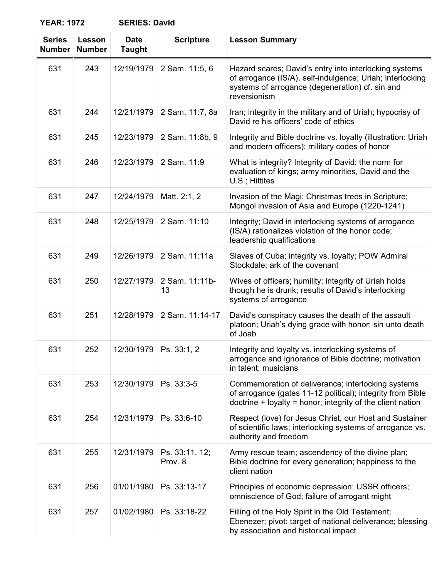| <b>Series</b><br><b>Number</b> | Lesson<br><b>Number</b> | <b>Date</b><br><b>Taught</b> | <b>Scripture</b>          | <b>Lesson Summary</b>                                                                                                                                                                  |
|--------------------------------|-------------------------|------------------------------|---------------------------|----------------------------------------------------------------------------------------------------------------------------------------------------------------------------------------|
| 631                            | 243                     | 12/19/1979                   | 2 Sam. 11:5, 6            | Hazard scares; David's entry into interlocking systems<br>of arrogance (IS/A), self-indulgence; Uriah; interlocking<br>systems of arrogance (degeneration) cf. sin and<br>reversionism |
| 631                            | 244                     | 12/21/1979                   | 2 Sam. 11:7, 8a           | Iran; integrity in the military and of Uriah; hypocrisy of<br>David re his officers' code of ethics                                                                                    |
| 631                            | 245                     | 12/23/1979                   | 2 Sam. 11:8b, 9           | Integrity and Bible doctrine vs. loyalty (illustration: Uriah<br>and modern officers); military codes of honor                                                                         |
| 631                            | 246                     | 12/23/1979                   | 2 Sam. 11:9               | What is integrity? Integrity of David: the norm for<br>evaluation of kings; army minorities, David and the<br>U.S.; Hittites                                                           |
| 631                            | 247                     | 12/24/1979                   | Matt. 2:1, 2              | Invasion of the Magi; Christmas trees in Scripture;<br>Mongol invasion of Asia and Europe (1220-1241)                                                                                  |
| 631                            | 248                     | 12/25/1979                   | 2 Sam. 11:10              | Integrity; David in interlocking systems of arrogance<br>(IS/A) rationalizes violation of the honor code;<br>leadership qualifications                                                 |
| 631                            | 249                     | 12/26/1979                   | 2 Sam. 11:11a             | Slaves of Cuba; integrity vs. loyalty; POW Admiral<br>Stockdale; ark of the covenant                                                                                                   |
| 631                            | 250                     | 12/27/1979                   | 2 Sam. 11:11b-<br>13      | Wives of officers; humility; integrity of Uriah holds<br>though he is drunk; results of David's interlocking<br>systems of arrogance                                                   |
| 631                            | 251                     | 12/28/1979                   | 2 Sam. 11:14-17           | David's conspiracy causes the death of the assault<br>platoon; Uriah's dying grace with honor; sin unto death<br>of Joab                                                               |
| 631                            | 252                     | 12/30/1979                   | Ps. 33:1, 2               | Integrity and loyalty vs. interlocking systems of<br>arrogance and ignorance of Bible doctrine; motivation<br>in talent; musicians                                                     |
| 631                            | 253                     | 12/30/1979                   | Ps. 33:3-5                | Commemoration of deliverance; interlocking systems<br>of arrogance (gates 11-12 political); integrity from Bible<br>$d$ doctrine + loyalty = honor; integrity of the client nation     |
| 631                            | 254                     | 12/31/1979                   | Ps. 33:6-10               | Respect (love) for Jesus Christ, our Host and Sustainer<br>of scientific laws; interlocking systems of arrogance vs.<br>authority and freedom                                          |
| 631                            | 255                     | 12/31/1979                   | Ps. 33:11, 12;<br>Prov. 8 | Army rescue team; ascendency of the divine plan;<br>Bible doctrine for every generation; happiness to the<br>client nation                                                             |
| 631                            | 256                     | 01/01/1980                   | Ps. 33:13-17              | Principles of economic depression; USSR officers;<br>omniscience of God; failure of arrogant might                                                                                     |
| 631                            | 257                     | 01/02/1980                   | Ps. 33:18-22              | Filling of the Holy Spirit in the Old Testament;<br>Ebenezer; pivot: target of national deliverance; blessing<br>by association and historical impact                                  |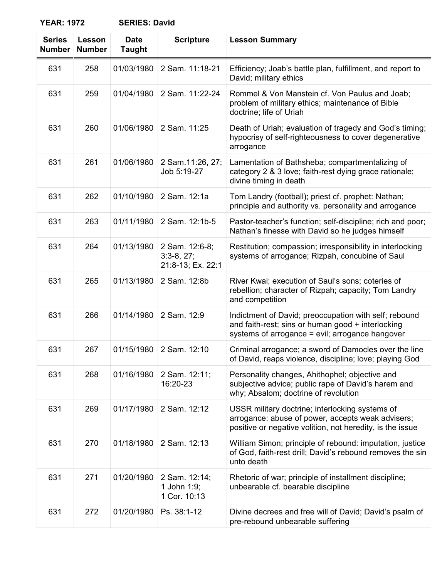| <b>Series</b><br><b>Number</b> | Lesson<br><b>Number</b> | <b>Date</b><br><b>Taught</b> | <b>Scripture</b>                                    | <b>Lesson Summary</b>                                                                                                                                             |
|--------------------------------|-------------------------|------------------------------|-----------------------------------------------------|-------------------------------------------------------------------------------------------------------------------------------------------------------------------|
| 631                            | 258                     | 01/03/1980                   | 2 Sam. 11:18-21                                     | Efficiency; Joab's battle plan, fulfillment, and report to<br>David; military ethics                                                                              |
| 631                            | 259                     | 01/04/1980                   | 2 Sam. 11:22-24                                     | Rommel & Von Manstein cf. Von Paulus and Joab;<br>problem of military ethics; maintenance of Bible<br>doctrine; life of Uriah                                     |
| 631                            | 260                     | 01/06/1980                   | 2 Sam. 11:25                                        | Death of Uriah; evaluation of tragedy and God's timing;<br>hypocrisy of self-righteousness to cover degenerative<br>arrogance                                     |
| 631                            | 261                     | 01/06/1980                   | 2 Sam.11:26, 27;<br>Job 5:19-27                     | Lamentation of Bathsheba; compartmentalizing of<br>category 2 & 3 love; faith-rest dying grace rationale;<br>divine timing in death                               |
| 631                            | 262                     | 01/10/1980                   | 2 Sam. 12:1a                                        | Tom Landry (football); priest cf. prophet: Nathan;<br>principle and authority vs. personality and arrogance                                                       |
| 631                            | 263                     | 01/11/1980                   | 2 Sam. 12:1b-5                                      | Pastor-teacher's function; self-discipline; rich and poor;<br>Nathan's finesse with David so he judges himself                                                    |
| 631                            | 264                     | 01/13/1980                   | 2 Sam. 12:6-8;<br>$3:3-8, 27;$<br>21:8-13; Ex. 22:1 | Restitution; compassion; irresponsibility in interlocking<br>systems of arrogance; Rizpah, concubine of Saul                                                      |
| 631                            | 265                     | 01/13/1980                   | 2 Sam. 12:8b                                        | River Kwai; execution of Saul's sons; coteries of<br>rebellion; character of Rizpah; capacity; Tom Landry<br>and competition                                      |
| 631                            | 266                     | 01/14/1980                   | 2 Sam. 12:9                                         | Indictment of David; preoccupation with self; rebound<br>and faith-rest; sins or human good + interlocking<br>systems of arrogance = evil; arrogance hangover     |
| 631                            | 267                     | 01/15/1980                   | 2 Sam. 12:10                                        | Criminal arrogance; a sword of Damocles over the line<br>of David, reaps violence, discipline; love; playing God                                                  |
| 631                            | 268                     | 01/16/1980                   | 2 Sam. 12:11;<br>16:20-23                           | Personality changes, Ahithophel; objective and<br>subjective advice; public rape of David's harem and<br>why; Absalom; doctrine of revolution                     |
| 631                            | 269                     | 01/17/1980                   | 2 Sam. 12:12                                        | USSR military doctrine; interlocking systems of<br>arrogance: abuse of power, accepts weak advisers;<br>positive or negative volition, not heredity, is the issue |
| 631                            | 270                     | 01/18/1980                   | 2 Sam. 12:13                                        | William Simon; principle of rebound: imputation, justice<br>of God, faith-rest drill; David's rebound removes the sin<br>unto death                               |
| 631                            | 271                     | 01/20/1980                   | 2 Sam. 12:14;<br>1 John 1:9;<br>1 Cor. 10:13        | Rhetoric of war; principle of installment discipline;<br>unbearable cf. bearable discipline                                                                       |
| 631                            | 272                     | 01/20/1980                   | Ps. 38:1-12                                         | Divine decrees and free will of David; David's psalm of<br>pre-rebound unbearable suffering                                                                       |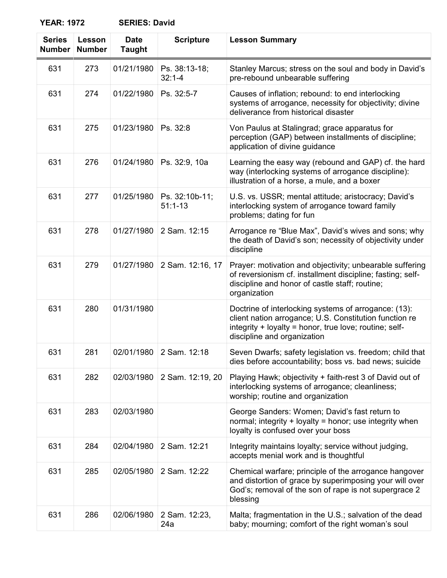| <b>Series</b><br><b>Number</b> | Lesson<br><b>Number</b> | <b>Date</b><br><b>Taught</b> | <b>Scripture</b>              | <b>Lesson Summary</b>                                                                                                                                                                                   |
|--------------------------------|-------------------------|------------------------------|-------------------------------|---------------------------------------------------------------------------------------------------------------------------------------------------------------------------------------------------------|
| 631                            | 273                     | 01/21/1980                   | Ps. 38:13-18;<br>$32:1 - 4$   | Stanley Marcus; stress on the soul and body in David's<br>pre-rebound unbearable suffering                                                                                                              |
| 631                            | 274                     | 01/22/1980                   | Ps. 32:5-7                    | Causes of inflation; rebound: to end interlocking<br>systems of arrogance, necessity for objectivity; divine<br>deliverance from historical disaster                                                    |
| 631                            | 275                     | 01/23/1980                   | Ps. 32:8                      | Von Paulus at Stalingrad; grace apparatus for<br>perception (GAP) between installments of discipline;<br>application of divine guidance                                                                 |
| 631                            | 276                     | 01/24/1980                   | Ps. 32:9, 10a                 | Learning the easy way (rebound and GAP) cf. the hard<br>way (interlocking systems of arrogance discipline):<br>illustration of a horse, a mule, and a boxer                                             |
| 631                            | 277                     | 01/25/1980                   | Ps. 32:10b-11;<br>$51:1 - 13$ | U.S. vs. USSR; mental attitude; aristocracy; David's<br>interlocking system of arrogance toward family<br>problems; dating for fun                                                                      |
| 631                            | 278                     | 01/27/1980                   | 2 Sam. 12:15                  | Arrogance re "Blue Max", David's wives and sons; why<br>the death of David's son; necessity of objectivity under<br>discipline                                                                          |
| 631                            | 279                     | 01/27/1980                   | 2 Sam. 12:16, 17              | Prayer: motivation and objectivity; unbearable suffering<br>of reversionism cf. installment discipline; fasting; self-<br>discipline and honor of castle staff; routine;<br>organization                |
| 631                            | 280                     | 01/31/1980                   |                               | Doctrine of interlocking systems of arrogance: (13):<br>client nation arrogance; U.S. Constitution function re<br>integrity + loyalty = honor, true love; routine; self-<br>discipline and organization |
| 631                            | 281                     | 02/01/1980                   | 2 Sam. 12:18                  | Seven Dwarfs; safety legislation vs. freedom; child that<br>dies before accountability; boss vs. bad news; suicide                                                                                      |
| 631                            | 282                     | 02/03/1980                   | 2 Sam. 12:19, 20              | Playing Hawk; objectivity + faith-rest 3 of David out of<br>interlocking systems of arrogance; cleanliness;<br>worship; routine and organization                                                        |
| 631                            | 283                     | 02/03/1980                   |                               | George Sanders: Women; David's fast return to<br>normal; integrity $+$ loyalty $=$ honor; use integrity when<br>loyalty is confused over your boss                                                      |
| 631                            | 284                     | 02/04/1980                   | 2 Sam. 12:21                  | Integrity maintains loyalty; service without judging,<br>accepts menial work and is thoughtful                                                                                                          |
| 631                            | 285                     | 02/05/1980                   | 2 Sam. 12:22                  | Chemical warfare; principle of the arrogance hangover<br>and distortion of grace by superimposing your will over<br>God's; removal of the son of rape is not supergrace 2<br>blessing                   |
| 631                            | 286                     | 02/06/1980                   | 2 Sam. 12:23,<br>24a          | Malta; fragmentation in the U.S.; salvation of the dead<br>baby; mourning; comfort of the right woman's soul                                                                                            |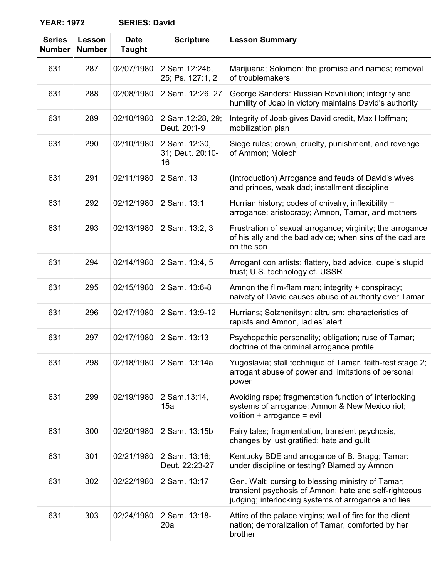| <b>Series</b><br><b>Number</b> | Lesson<br><b>Number</b> | <b>Date</b><br><b>Taught</b> | <b>Scripture</b>                        | <b>Lesson Summary</b>                                                                                                                                             |
|--------------------------------|-------------------------|------------------------------|-----------------------------------------|-------------------------------------------------------------------------------------------------------------------------------------------------------------------|
| 631                            | 287                     | 02/07/1980                   | 2 Sam. 12:24b,<br>25; Ps. 127:1, 2      | Marijuana; Solomon: the promise and names; removal<br>of troublemakers                                                                                            |
| 631                            | 288                     | 02/08/1980                   | 2 Sam. 12:26, 27                        | George Sanders: Russian Revolution; integrity and<br>humility of Joab in victory maintains David's authority                                                      |
| 631                            | 289                     | 02/10/1980                   | 2 Sam.12:28, 29;<br>Deut. 20:1-9        | Integrity of Joab gives David credit, Max Hoffman;<br>mobilization plan                                                                                           |
| 631                            | 290                     | 02/10/1980                   | 2 Sam. 12:30,<br>31; Deut. 20:10-<br>16 | Siege rules; crown, cruelty, punishment, and revenge<br>of Ammon; Molech                                                                                          |
| 631                            | 291                     | 02/11/1980                   | 2 Sam. 13                               | (Introduction) Arrogance and feuds of David's wives<br>and princes, weak dad; installment discipline                                                              |
| 631                            | 292                     | 02/12/1980                   | 2 Sam. 13:1                             | Hurrian history; codes of chivalry, inflexibility +<br>arrogance: aristocracy; Amnon, Tamar, and mothers                                                          |
| 631                            | 293                     | 02/13/1980                   | 2 Sam. 13:2, 3                          | Frustration of sexual arrogance; virginity; the arrogance<br>of his ally and the bad advice; when sins of the dad are<br>on the son                               |
| 631                            | 294                     | 02/14/1980                   | 2 Sam. 13:4, 5                          | Arrogant con artists: flattery, bad advice, dupe's stupid<br>trust; U.S. technology cf. USSR                                                                      |
| 631                            | 295                     | 02/15/1980                   | 2 Sam. 13:6-8                           | Amnon the flim-flam man; integrity + conspiracy;<br>naivety of David causes abuse of authority over Tamar                                                         |
| 631                            | 296                     | 02/17/1980                   | 2 Sam. 13:9-12                          | Hurrians; Solzhenitsyn: altruism; characteristics of<br>rapists and Amnon, ladies' alert                                                                          |
| 631                            | 297                     | 02/17/1980                   | 2 Sam. 13:13                            | Psychopathic personality; obligation; ruse of Tamar;<br>doctrine of the criminal arrogance profile                                                                |
| 631                            | 298                     | 02/18/1980                   | 2 Sam. 13:14a                           | Yugoslavia; stall technique of Tamar, faith-rest stage 2;<br>arrogant abuse of power and limitations of personal<br>power                                         |
| 631                            | 299                     | 02/19/1980                   | 2 Sam.13:14,<br>15a                     | Avoiding rape; fragmentation function of interlocking<br>systems of arrogance: Amnon & New Mexico riot;<br>volition + $\arccos$ = evil                            |
| 631                            | 300                     | 02/20/1980                   | 2 Sam. 13:15b                           | Fairy tales; fragmentation, transient psychosis,<br>changes by lust gratified; hate and guilt                                                                     |
| 631                            | 301                     | 02/21/1980                   | 2 Sam. 13:16;<br>Deut. 22:23-27         | Kentucky BDE and arrogance of B. Bragg; Tamar:<br>under discipline or testing? Blamed by Amnon                                                                    |
| 631                            | 302                     | 02/22/1980                   | 2 Sam. 13:17                            | Gen. Walt; cursing to blessing ministry of Tamar;<br>transient psychosis of Amnon: hate and self-righteous<br>judging; interlocking systems of arrogance and lies |
| 631                            | 303                     | 02/24/1980                   | 2 Sam. 13:18-<br>20a                    | Attire of the palace virgins; wall of fire for the client<br>nation; demoralization of Tamar, comforted by her<br>brother                                         |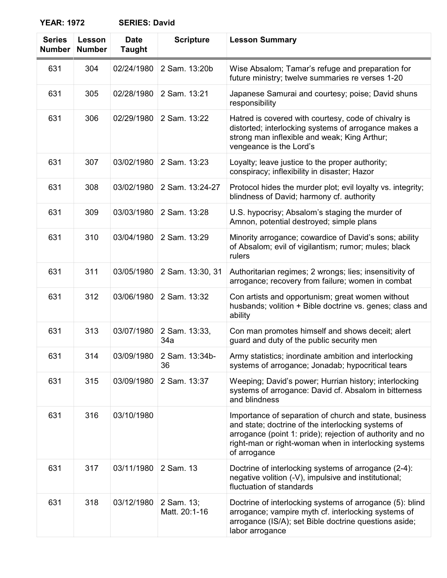| <b>Series</b><br><b>Number</b> | Lesson<br><b>Number</b> | <b>Date</b><br><b>Taught</b> | <b>Scripture</b>            | <b>Lesson Summary</b>                                                                                                                                                                                                                              |
|--------------------------------|-------------------------|------------------------------|-----------------------------|----------------------------------------------------------------------------------------------------------------------------------------------------------------------------------------------------------------------------------------------------|
| 631                            | 304                     | 02/24/1980                   | 2 Sam. 13:20b               | Wise Absalom; Tamar's refuge and preparation for<br>future ministry; twelve summaries re verses 1-20                                                                                                                                               |
| 631                            | 305                     | 02/28/1980                   | 2 Sam. 13:21                | Japanese Samurai and courtesy; poise; David shuns<br>responsibility                                                                                                                                                                                |
| 631                            | 306                     | 02/29/1980                   | 2 Sam. 13:22                | Hatred is covered with courtesy, code of chivalry is<br>distorted; interlocking systems of arrogance makes a<br>strong man inflexible and weak; King Arthur;<br>vengeance is the Lord's                                                            |
| 631                            | 307                     | 03/02/1980                   | 2 Sam. 13:23                | Loyalty; leave justice to the proper authority;<br>conspiracy; inflexibility in disaster; Hazor                                                                                                                                                    |
| 631                            | 308                     | 03/02/1980                   | 2 Sam. 13:24-27             | Protocol hides the murder plot; evil loyalty vs. integrity;<br>blindness of David; harmony cf. authority                                                                                                                                           |
| 631                            | 309                     | 03/03/1980                   | 2 Sam. 13:28                | U.S. hypocrisy; Absalom's staging the murder of<br>Amnon, potential destroyed; simple plans                                                                                                                                                        |
| 631                            | 310                     | 03/04/1980                   | 2 Sam. 13:29                | Minority arrogance; cowardice of David's sons; ability<br>of Absalom; evil of vigilantism; rumor; mules; black<br>rulers                                                                                                                           |
| 631                            | 311                     | 03/05/1980                   | 2 Sam. 13:30, 31            | Authoritarian regimes; 2 wrongs; lies; insensitivity of<br>arrogance; recovery from failure; women in combat                                                                                                                                       |
| 631                            | 312                     | 03/06/1980                   | 2 Sam. 13:32                | Con artists and opportunism; great women without<br>husbands; volition + Bible doctrine vs. genes; class and<br>ability                                                                                                                            |
| 631                            | 313                     | 03/07/1980                   | 2 Sam. 13:33,<br>34a        | Con man promotes himself and shows deceit; alert<br>guard and duty of the public security men                                                                                                                                                      |
| 631                            | 314                     | 03/09/1980                   | 2 Sam. 13:34b-<br>36        | Army statistics; inordinate ambition and interlocking<br>systems of arrogance; Jonadab; hypocritical tears                                                                                                                                         |
| 631                            | 315                     | 03/09/1980                   | 2 Sam. 13:37                | Weeping; David's power; Hurrian history; interlocking<br>systems of arrogance: David cf. Absalom in bitterness<br>and blindness                                                                                                                    |
| 631                            | 316                     | 03/10/1980                   |                             | Importance of separation of church and state, business<br>and state; doctrine of the interlocking systems of<br>arrogance (point 1: pride); rejection of authority and no<br>right-man or right-woman when in interlocking systems<br>of arrogance |
| 631                            | 317                     | 03/11/1980                   | 2 Sam. 13                   | Doctrine of interlocking systems of arrogance (2-4):<br>negative volition (-V), impulsive and institutional;<br>fluctuation of standards                                                                                                           |
| 631                            | 318                     | 03/12/1980                   | 2 Sam. 13;<br>Matt. 20:1-16 | Doctrine of interlocking systems of arrogance (5): blind<br>arrogance; vampire myth cf. interlocking systems of<br>arrogance (IS/A); set Bible doctrine questions aside;<br>labor arrogance                                                        |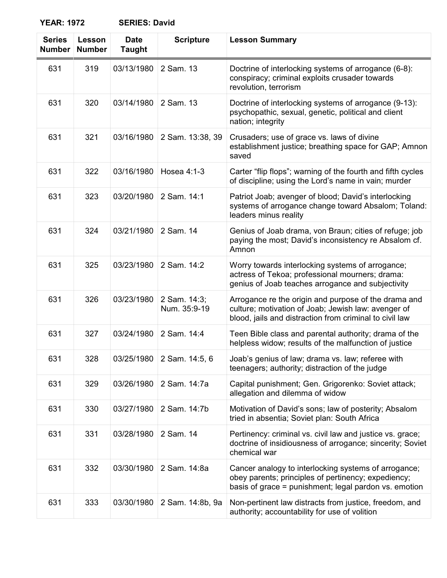| <b>Series</b><br><b>Number</b> | Lesson<br><b>Number</b> | <b>Date</b><br><b>Taught</b> | <b>Scripture</b>             | <b>Lesson Summary</b>                                                                                                                                                  |
|--------------------------------|-------------------------|------------------------------|------------------------------|------------------------------------------------------------------------------------------------------------------------------------------------------------------------|
| 631                            | 319                     | 03/13/1980                   | 2 Sam. 13                    | Doctrine of interlocking systems of arrogance (6-8):<br>conspiracy; criminal exploits crusader towards<br>revolution, terrorism                                        |
| 631                            | 320                     | 03/14/1980                   | 2 Sam. 13                    | Doctrine of interlocking systems of arrogance (9-13):<br>psychopathic, sexual, genetic, political and client<br>nation; integrity                                      |
| 631                            | 321                     | 03/16/1980                   | 2 Sam. 13:38, 39             | Crusaders; use of grace vs. laws of divine<br>establishment justice; breathing space for GAP; Amnon<br>saved                                                           |
| 631                            | 322                     | 03/16/1980                   | Hosea 4:1-3                  | Carter "flip flops"; warning of the fourth and fifth cycles<br>of discipline; using the Lord's name in vain; murder                                                    |
| 631                            | 323                     | 03/20/1980                   | 2 Sam. 14:1                  | Patriot Joab; avenger of blood; David's interlocking<br>systems of arrogance change toward Absalom; Toland:<br>leaders minus reality                                   |
| 631                            | 324                     | 03/21/1980                   | 2 Sam. 14                    | Genius of Joab drama, von Braun; cities of refuge; job<br>paying the most; David's inconsistency re Absalom cf.<br>Amnon                                               |
| 631                            | 325                     | 03/23/1980                   | 2 Sam. 14:2                  | Worry towards interlocking systems of arrogance;<br>actress of Tekoa; professional mourners; drama:<br>genius of Joab teaches arrogance and subjectivity               |
| 631                            | 326                     | 03/23/1980                   | 2 Sam. 14:3;<br>Num. 35:9-19 | Arrogance re the origin and purpose of the drama and<br>culture; motivation of Joab; Jewish law: avenger of<br>blood, jails and distraction from criminal to civil law |
| 631                            | 327                     | 03/24/1980                   | 2 Sam. 14:4                  | Teen Bible class and parental authority; drama of the<br>helpless widow; results of the malfunction of justice                                                         |
| 631                            | 328                     | 03/25/1980                   | 2 Sam. 14:5, 6               | Joab's genius of law; drama vs. law; referee with<br>teenagers; authority; distraction of the judge                                                                    |
| 631                            | 329                     | 03/26/1980                   | 2 Sam. 14:7a                 | Capital punishment; Gen. Grigorenko: Soviet attack;<br>allegation and dilemma of widow                                                                                 |
| 631                            | 330                     | 03/27/1980                   | 2 Sam. 14:7b                 | Motivation of David's sons; law of posterity; Absalom<br>tried in absentia; Soviet plan: South Africa                                                                  |
| 631                            | 331                     | 03/28/1980                   | 2 Sam. 14                    | Pertinency: criminal vs. civil law and justice vs. grace;<br>doctrine of insidiousness of arrogance; sincerity; Soviet<br>chemical war                                 |
| 631                            | 332                     | 03/30/1980                   | 2 Sam. 14:8a                 | Cancer analogy to interlocking systems of arrogance;<br>obey parents; principles of pertinency; expediency;<br>basis of grace = punishment; legal pardon vs. emotion   |
| 631                            | 333                     | 03/30/1980                   | 2 Sam. 14:8b, 9a             | Non-pertinent law distracts from justice, freedom, and<br>authority; accountability for use of volition                                                                |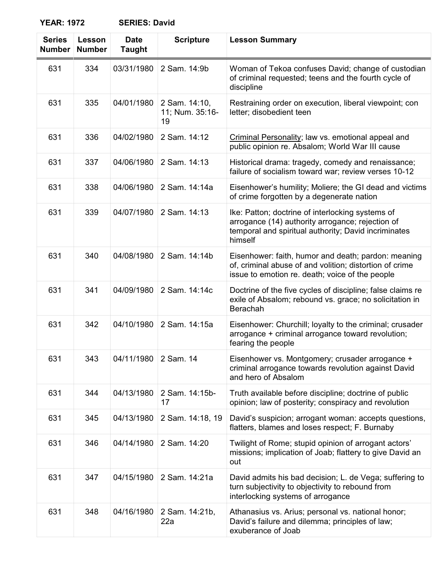| <b>Series</b><br><b>Number</b> | <b>Lesson</b><br><b>Number</b> | <b>Date</b><br><b>Taught</b> | <b>Scripture</b>                       | <b>Lesson Summary</b>                                                                                                                                                   |
|--------------------------------|--------------------------------|------------------------------|----------------------------------------|-------------------------------------------------------------------------------------------------------------------------------------------------------------------------|
| 631                            | 334                            | 03/31/1980                   | 2 Sam. 14:9b                           | Woman of Tekoa confuses David; change of custodian<br>of criminal requested; teens and the fourth cycle of<br>discipline                                                |
| 631                            | 335                            | 04/01/1980                   | 2 Sam. 14:10,<br>11; Num. 35:16-<br>19 | Restraining order on execution, liberal viewpoint; con<br>letter; disobedient teen                                                                                      |
| 631                            | 336                            | 04/02/1980                   | 2 Sam. 14:12                           | Criminal Personality; law vs. emotional appeal and<br>public opinion re. Absalom; World War III cause                                                                   |
| 631                            | 337                            | 04/06/1980                   | 2 Sam. 14:13                           | Historical drama: tragedy, comedy and renaissance;<br>failure of socialism toward war; review verses 10-12                                                              |
| 631                            | 338                            | 04/06/1980                   | 2 Sam. 14:14a                          | Eisenhower's humility; Moliere; the GI dead and victims<br>of crime forgotten by a degenerate nation                                                                    |
| 631                            | 339                            | 04/07/1980                   | 2 Sam. 14:13                           | Ike: Patton; doctrine of interlocking systems of<br>arrogance (14) authority arrogance; rejection of<br>temporal and spiritual authority; David incriminates<br>himself |
| 631                            | 340                            | 04/08/1980                   | 2 Sam. 14:14b                          | Eisenhower: faith, humor and death; pardon: meaning<br>of, criminal abuse of and volition; distortion of crime<br>issue to emotion re. death; voice of the people       |
| 631                            | 341                            | 04/09/1980                   | 2 Sam. 14:14c                          | Doctrine of the five cycles of discipline; false claims re<br>exile of Absalom; rebound vs. grace; no solicitation in<br>Berachah                                       |
| 631                            | 342                            | 04/10/1980                   | 2 Sam. 14:15a                          | Eisenhower: Churchill; loyalty to the criminal; crusader<br>arrogance + criminal arrogance toward revolution;<br>fearing the people                                     |
| 631                            | 343                            | 04/11/1980                   | 2 Sam. 14                              | Eisenhower vs. Montgomery; crusader arrogance +<br>criminal arrogance towards revolution against David<br>and hero of Absalom                                           |
| 631                            | 344                            | 04/13/1980                   | 2 Sam. 14:15b-<br>17                   | Truth available before discipline; doctrine of public<br>opinion; law of posterity; conspiracy and revolution                                                           |
| 631                            | 345                            | 04/13/1980                   | 2 Sam. 14:18, 19                       | David's suspicion; arrogant woman: accepts questions,<br>flatters, blames and loses respect; F. Burnaby                                                                 |
| 631                            | 346                            | 04/14/1980                   | 2 Sam. 14:20                           | Twilight of Rome; stupid opinion of arrogant actors'<br>missions; implication of Joab; flattery to give David an<br>out                                                 |
| 631                            | 347                            | 04/15/1980                   | 2 Sam. 14:21a                          | David admits his bad decision; L. de Vega; suffering to<br>turn subjectivity to objectivity to rebound from<br>interlocking systems of arrogance                        |
| 631                            | 348                            | 04/16/1980                   | 2 Sam. 14:21b,<br>22a                  | Athanasius vs. Arius; personal vs. national honor;<br>David's failure and dilemma; principles of law;<br>exuberance of Joab                                             |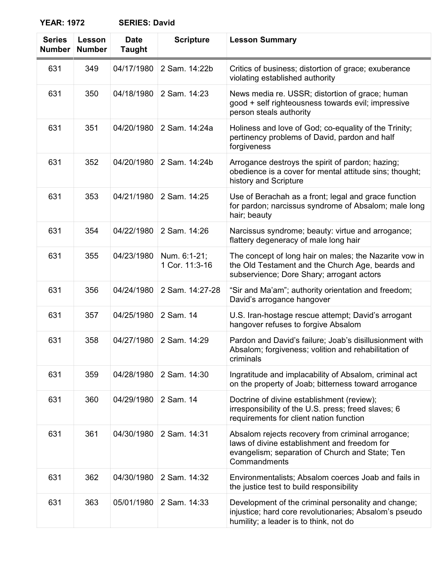| <b>Series</b><br><b>Number</b> | Lesson<br><b>Number</b> | <b>Date</b><br><b>Taught</b> | <b>Scripture</b>               | <b>Lesson Summary</b>                                                                                                                                                |
|--------------------------------|-------------------------|------------------------------|--------------------------------|----------------------------------------------------------------------------------------------------------------------------------------------------------------------|
| 631                            | 349                     | 04/17/1980                   | 2 Sam. 14:22b                  | Critics of business; distortion of grace; exuberance<br>violating established authority                                                                              |
| 631                            | 350                     | 04/18/1980                   | 2 Sam. 14:23                   | News media re. USSR; distortion of grace; human<br>good + self righteousness towards evil; impressive<br>person steals authority                                     |
| 631                            | 351                     | 04/20/1980                   | 2 Sam. 14:24a                  | Holiness and love of God; co-equality of the Trinity;<br>pertinency problems of David, pardon and half<br>forgiveness                                                |
| 631                            | 352                     | 04/20/1980                   | 2 Sam. 14:24b                  | Arrogance destroys the spirit of pardon; hazing;<br>obedience is a cover for mental attitude sins; thought;<br>history and Scripture                                 |
| 631                            | 353                     | 04/21/1980                   | 2 Sam. 14:25                   | Use of Berachah as a front; legal and grace function<br>for pardon; narcissus syndrome of Absalom; male long<br>hair; beauty                                         |
| 631                            | 354                     | 04/22/1980                   | 2 Sam. 14:26                   | Narcissus syndrome; beauty: virtue and arrogance;<br>flattery degeneracy of male long hair                                                                           |
| 631                            | 355                     | 04/23/1980                   | Num. 6:1-21;<br>1 Cor. 11:3-16 | The concept of long hair on males; the Nazarite vow in<br>the Old Testament and the Church Age, beards and<br>subservience; Dore Shary; arrogant actors              |
| 631                            | 356                     | 04/24/1980                   | 2 Sam. 14:27-28                | "Sir and Ma'am"; authority orientation and freedom;<br>David's arrogance hangover                                                                                    |
| 631                            | 357                     | 04/25/1980                   | 2 Sam. 14                      | U.S. Iran-hostage rescue attempt; David's arrogant<br>hangover refuses to forgive Absalom                                                                            |
| 631                            | 358                     | 04/27/1980                   | 2 Sam. 14:29                   | Pardon and David's failure; Joab's disillusionment with<br>Absalom; forgiveness; volition and rehabilitation of<br>criminals                                         |
| 631                            | 359                     | 04/28/1980                   | 2 Sam. 14:30                   | Ingratitude and implacability of Absalom, criminal act<br>on the property of Joab; bitterness toward arrogance                                                       |
| 631                            | 360                     | 04/29/1980                   | 2 Sam. 14                      | Doctrine of divine establishment (review);<br>irresponsibility of the U.S. press; freed slaves; 6<br>requirements for client nation function                         |
| 631                            | 361                     | 04/30/1980                   | 2 Sam. 14:31                   | Absalom rejects recovery from criminal arrogance;<br>laws of divine establishment and freedom for<br>evangelism; separation of Church and State; Ten<br>Commandments |
| 631                            | 362                     | 04/30/1980                   | 2 Sam. 14:32                   | Environmentalists; Absalom coerces Joab and fails in<br>the justice test to build responsibility                                                                     |
| 631                            | 363                     | 05/01/1980                   | 2 Sam. 14:33                   | Development of the criminal personality and change;<br>injustice; hard core revolutionaries; Absalom's pseudo<br>humility; a leader is to think, not do              |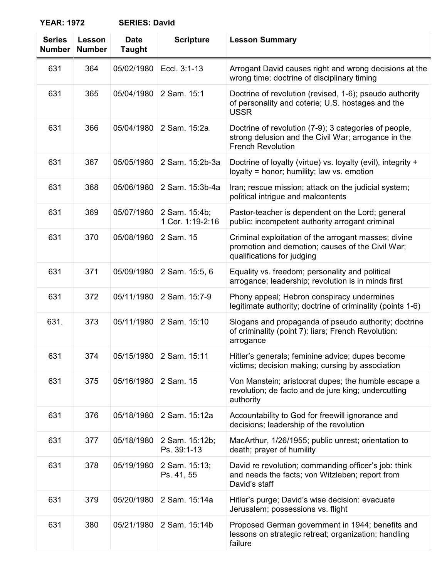| <b>Series</b><br>Number | Lesson<br><b>Number</b> | <b>Date</b><br><b>Taught</b> | <b>Scripture</b>                  | <b>Lesson Summary</b>                                                                                                                    |
|-------------------------|-------------------------|------------------------------|-----------------------------------|------------------------------------------------------------------------------------------------------------------------------------------|
| 631                     | 364                     | 05/02/1980                   | Eccl. 3:1-13                      | Arrogant David causes right and wrong decisions at the<br>wrong time; doctrine of disciplinary timing                                    |
| 631                     | 365                     | 05/04/1980                   | 2 Sam. 15:1                       | Doctrine of revolution (revised, 1-6); pseudo authority<br>of personality and coterie; U.S. hostages and the<br><b>USSR</b>              |
| 631                     | 366                     | 05/04/1980                   | 2 Sam. 15:2a                      | Doctrine of revolution (7-9); 3 categories of people,<br>strong delusion and the Civil War; arrogance in the<br><b>French Revolution</b> |
| 631                     | 367                     | 05/05/1980                   | 2 Sam. 15:2b-3a                   | Doctrine of loyalty (virtue) vs. loyalty (evil), integrity +<br>loyalty = honor; humility; law vs. emotion                               |
| 631                     | 368                     | 05/06/1980                   | 2 Sam. 15:3b-4a                   | Iran; rescue mission; attack on the judicial system;<br>political intrigue and malcontents                                               |
| 631                     | 369                     | 05/07/1980                   | 2 Sam. 15:4b;<br>1 Cor. 1:19-2:16 | Pastor-teacher is dependent on the Lord; general<br>public: incompetent authority arrogant criminal                                      |
| 631                     | 370                     | 05/08/1980                   | 2 Sam. 15                         | Criminal exploitation of the arrogant masses; divine<br>promotion and demotion; causes of the Civil War;<br>qualifications for judging   |
| 631                     | 371                     | 05/09/1980                   | 2 Sam. 15:5, 6                    | Equality vs. freedom; personality and political<br>arrogance; leadership; revolution is in minds first                                   |
| 631                     | 372                     | 05/11/1980                   | 2 Sam. 15:7-9                     | Phony appeal; Hebron conspiracy undermines<br>legitimate authority; doctrine of criminality (points 1-6)                                 |
| 631.                    | 373                     | 05/11/1980                   | 2 Sam. 15:10                      | Slogans and propaganda of pseudo authority; doctrine<br>of criminality (point 7): liars; French Revolution:<br>arrogance                 |
| 631                     | 374                     | 05/15/1980                   | 2 Sam. 15:11                      | Hitler's generals; feminine advice; dupes become<br>victims; decision making; cursing by association                                     |
| 631                     | 375                     | 05/16/1980                   | 2 Sam. 15                         | Von Manstein; aristocrat dupes; the humble escape a<br>revolution; de facto and de jure king; undercutting<br>authority                  |
| 631                     | 376                     | 05/18/1980                   | 2 Sam. 15:12a                     | Accountability to God for freewill ignorance and<br>decisions; leadership of the revolution                                              |
| 631                     | 377                     | 05/18/1980                   | 2 Sam. 15:12b;<br>Ps. 39:1-13     | MacArthur, 1/26/1955; public unrest; orientation to<br>death; prayer of humility                                                         |
| 631                     | 378                     | 05/19/1980                   | 2 Sam. 15:13;<br>Ps. 41, 55       | David re revolution; commanding officer's job: think<br>and needs the facts; von Witzleben; report from<br>David's staff                 |
| 631                     | 379                     | 05/20/1980                   | 2 Sam. 15:14a                     | Hitler's purge; David's wise decision: evacuate<br>Jerusalem; possessions vs. flight                                                     |
| 631                     | 380                     | 05/21/1980                   | 2 Sam. 15:14b                     | Proposed German government in 1944; benefits and<br>lessons on strategic retreat; organization; handling<br>failure                      |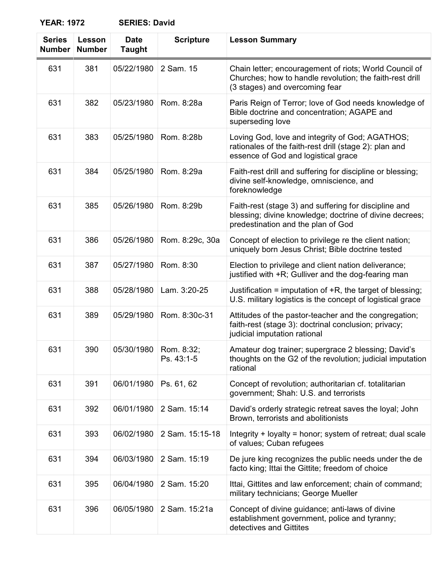| <b>Series</b><br><b>Number</b> | Lesson<br><b>Number</b> | <b>Date</b><br><b>Taught</b> | <b>Scripture</b>         | <b>Lesson Summary</b>                                                                                                                                  |
|--------------------------------|-------------------------|------------------------------|--------------------------|--------------------------------------------------------------------------------------------------------------------------------------------------------|
| 631                            | 381                     | 05/22/1980                   | 2 Sam. 15                | Chain letter; encouragement of riots; World Council of<br>Churches; how to handle revolution; the faith-rest drill<br>(3 stages) and overcoming fear   |
| 631                            | 382                     | 05/23/1980                   | Rom. 8:28a               | Paris Reign of Terror; love of God needs knowledge of<br>Bible doctrine and concentration; AGAPE and<br>superseding love                               |
| 631                            | 383                     | 05/25/1980                   | Rom. 8:28b               | Loving God, love and integrity of God; AGATHOS;<br>rationales of the faith-rest drill (stage 2): plan and<br>essence of God and logistical grace       |
| 631                            | 384                     | 05/25/1980                   | Rom. 8:29a               | Faith-rest drill and suffering for discipline or blessing;<br>divine self-knowledge, omniscience, and<br>foreknowledge                                 |
| 631                            | 385                     | 05/26/1980                   | Rom. 8:29b               | Faith-rest (stage 3) and suffering for discipline and<br>blessing; divine knowledge; doctrine of divine decrees;<br>predestination and the plan of God |
| 631                            | 386                     | 05/26/1980                   | Rom. 8:29c, 30a          | Concept of election to privilege re the client nation;<br>uniquely born Jesus Christ; Bible doctrine tested                                            |
| 631                            | 387                     | 05/27/1980                   | Rom. 8:30                | Election to privilege and client nation deliverance;<br>justified with +R; Gulliver and the dog-fearing man                                            |
| 631                            | 388                     | 05/28/1980                   | Lam. 3:20-25             | Justification = imputation of $+R$ , the target of blessing;<br>U.S. military logistics is the concept of logistical grace                             |
| 631                            | 389                     | 05/29/1980                   | Rom. 8:30c-31            | Attitudes of the pastor-teacher and the congregation;<br>faith-rest (stage 3): doctrinal conclusion; privacy;<br>judicial imputation rational          |
| 631                            | 390                     | 05/30/1980                   | Rom. 8:32;<br>Ps. 43:1-5 | Amateur dog trainer; supergrace 2 blessing; David's<br>thoughts on the G2 of the revolution; judicial imputation<br>rational                           |
| 631                            | 391                     | 06/01/1980                   | Ps. 61, 62               | Concept of revolution; authoritarian cf. totalitarian<br>government; Shah: U.S. and terrorists                                                         |
| 631                            | 392                     | 06/01/1980                   | 2 Sam. 15:14             | David's orderly strategic retreat saves the loyal; John<br>Brown, terrorists and abolitionists                                                         |
| 631                            | 393                     | 06/02/1980                   | 2 Sam. 15:15-18          | Integrity + loyalty = honor; system of retreat; dual scale<br>of values; Cuban refugees                                                                |
| 631                            | 394                     | 06/03/1980                   | 2 Sam. 15:19             | De jure king recognizes the public needs under the de<br>facto king; Ittai the Gittite; freedom of choice                                              |
| 631                            | 395                     | 06/04/1980                   | 2 Sam. 15:20             | Ittai, Gittites and law enforcement; chain of command;<br>military technicians; George Mueller                                                         |
| 631                            | 396                     | 06/05/1980                   | 2 Sam. 15:21a            | Concept of divine guidance; anti-laws of divine<br>establishment government, police and tyranny;<br>detectives and Gittites                            |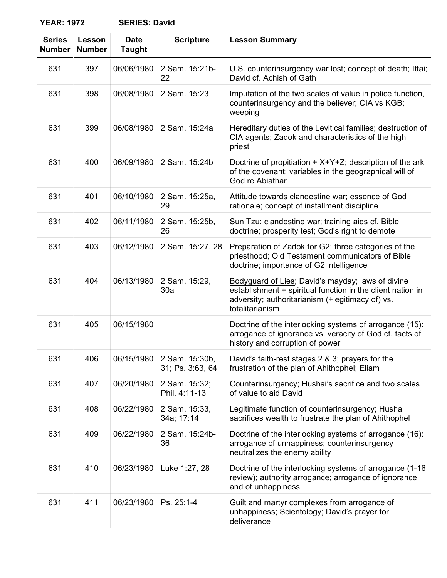# **YEAR: 1972**

| <b>SERIES: David</b> |  |
|----------------------|--|
|----------------------|--|

| <b>Series</b><br><b>Number</b> | Lesson<br><b>Number</b> | <b>Date</b><br><b>Taught</b> | <b>Scripture</b>                   | <b>Lesson Summary</b>                                                                                                                                                                  |
|--------------------------------|-------------------------|------------------------------|------------------------------------|----------------------------------------------------------------------------------------------------------------------------------------------------------------------------------------|
| 631                            | 397                     | 06/06/1980                   | 2 Sam. 15:21b-<br>22               | U.S. counterinsurgency war lost; concept of death; Ittai;<br>David cf. Achish of Gath                                                                                                  |
| 631                            | 398                     | 06/08/1980                   | 2 Sam. 15:23                       | Imputation of the two scales of value in police function,<br>counterinsurgency and the believer; CIA vs KGB;<br>weeping                                                                |
| 631                            | 399                     | 06/08/1980                   | 2 Sam. 15:24a                      | Hereditary duties of the Levitical families; destruction of<br>CIA agents; Zadok and characteristics of the high<br>priest                                                             |
| 631                            | 400                     | 06/09/1980                   | 2 Sam. 15:24b                      | Doctrine of propitiation $+ X+Y+Z$ ; description of the ark<br>of the covenant; variables in the geographical will of<br>God re Abiathar                                               |
| 631                            | 401                     | 06/10/1980                   | 2 Sam. 15:25a,<br>29               | Attitude towards clandestine war; essence of God<br>rationale; concept of installment discipline                                                                                       |
| 631                            | 402                     | 06/11/1980                   | 2 Sam. 15:25b,<br>26               | Sun Tzu: clandestine war; training aids cf. Bible<br>doctrine; prosperity test; God's right to demote                                                                                  |
| 631                            | 403                     | 06/12/1980                   | 2 Sam. 15:27, 28                   | Preparation of Zadok for G2; three categories of the<br>priesthood; Old Testament communicators of Bible<br>doctrine; importance of G2 intelligence                                    |
| 631                            | 404                     | 06/13/1980                   | 2 Sam. 15:29,<br>30a               | Bodyguard of Lies; David's mayday; laws of divine<br>establishment + spiritual function in the client nation in<br>adversity; authoritarianism (+legitimacy of) vs.<br>totalitarianism |
| 631                            | 405                     | 06/15/1980                   |                                    | Doctrine of the interlocking systems of arrogance (15):<br>arrogance of ignorance vs. veracity of God cf. facts of<br>history and corruption of power                                  |
| 631                            | 406                     | 06/15/1980                   | 2 Sam. 15:30b,<br>31; Ps. 3:63, 64 | David's faith-rest stages 2 & 3; prayers for the<br>frustration of the plan of Ahithophel; Eliam                                                                                       |
| 631                            | 407                     | 06/20/1980                   | 2 Sam. 15:32;<br>Phil. 4:11-13     | Counterinsurgency; Hushai's sacrifice and two scales<br>of value to aid David                                                                                                          |
| 631                            | 408                     | 06/22/1980                   | 2 Sam. 15:33,<br>34a; 17:14        | Legitimate function of counterinsurgency; Hushai<br>sacrifices wealth to frustrate the plan of Ahithophel                                                                              |
| 631                            | 409                     | 06/22/1980                   | 2 Sam. 15:24b-<br>36               | Doctrine of the interlocking systems of arrogance (16):<br>arrogance of unhappiness; counterinsurgency<br>neutralizes the enemy ability                                                |
| 631                            | 410                     | 06/23/1980                   | Luke 1:27, 28                      | Doctrine of the interlocking systems of arrogance (1-16<br>review); authority arrogance; arrogance of ignorance<br>and of unhappiness                                                  |
| 631                            | 411                     | 06/23/1980                   | Ps. 25:1-4                         | Guilt and martyr complexes from arrogance of<br>unhappiness; Scientology; David's prayer for<br>deliverance                                                                            |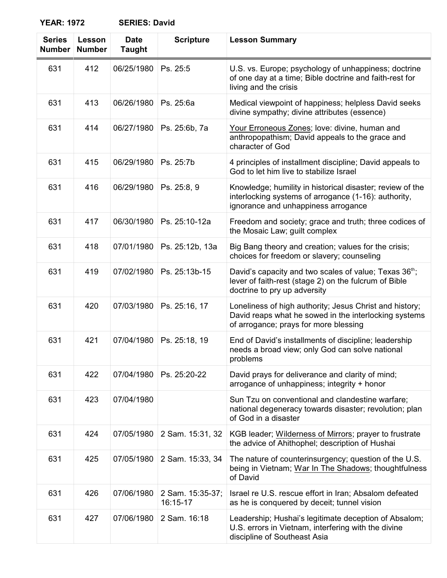| <b>Series</b><br><b>Number</b> | Lesson<br><b>Number</b> | <b>Date</b><br><b>Taught</b> | <b>Scripture</b>             | <b>Lesson Summary</b>                                                                                                                                       |
|--------------------------------|-------------------------|------------------------------|------------------------------|-------------------------------------------------------------------------------------------------------------------------------------------------------------|
| 631                            | 412                     | 06/25/1980                   | Ps. 25:5                     | U.S. vs. Europe; psychology of unhappiness; doctrine<br>of one day at a time; Bible doctrine and faith-rest for<br>living and the crisis                    |
| 631                            | 413                     | 06/26/1980                   | Ps. 25:6a                    | Medical viewpoint of happiness; helpless David seeks<br>divine sympathy; divine attributes (essence)                                                        |
| 631                            | 414                     | 06/27/1980                   | Ps. 25:6b, 7a                | Your Erroneous Zones; love: divine, human and<br>anthropopathism; David appeals to the grace and<br>character of God                                        |
| 631                            | 415                     | 06/29/1980                   | Ps. 25:7b                    | 4 principles of installment discipline; David appeals to<br>God to let him live to stabilize Israel                                                         |
| 631                            | 416                     | 06/29/1980                   | Ps. 25:8, 9                  | Knowledge; humility in historical disaster; review of the<br>interlocking systems of arrogance (1-16): authority,<br>ignorance and unhappiness arrogance    |
| 631                            | 417                     | 06/30/1980                   | Ps. 25:10-12a                | Freedom and society; grace and truth; three codices of<br>the Mosaic Law; guilt complex                                                                     |
| 631                            | 418                     | 07/01/1980                   | Ps. 25:12b, 13a              | Big Bang theory and creation; values for the crisis;<br>choices for freedom or slavery; counseling                                                          |
| 631                            | 419                     | 07/02/1980                   | Ps. 25:13b-15                | David's capacity and two scales of value; Texas 36 <sup>th</sup> ;<br>lever of faith-rest (stage 2) on the fulcrum of Bible<br>doctrine to pry up adversity |
| 631                            | 420                     | 07/03/1980                   | Ps. 25:16, 17                | Loneliness of high authority; Jesus Christ and history;<br>David reaps what he sowed in the interlocking systems<br>of arrogance; prays for more blessing   |
| 631                            | 421                     | 07/04/1980                   | Ps. 25:18, 19                | End of David's installments of discipline; leadership<br>needs a broad view; only God can solve national<br>problems                                        |
| 631                            | 422                     | 07/04/1980                   | Ps. 25:20-22                 | David prays for deliverance and clarity of mind;<br>arrogance of unhappiness; integrity + honor                                                             |
| 631                            | 423                     | 07/04/1980                   |                              | Sun Tzu on conventional and clandestine warfare;<br>national degeneracy towards disaster; revolution; plan<br>of God in a disaster                          |
| 631                            | 424                     | 07/05/1980                   | 2 Sam. 15:31, 32             | KGB leader; Wilderness of Mirrors; prayer to frustrate<br>the advice of Ahithophel; description of Hushai                                                   |
| 631                            | 425                     | 07/05/1980                   | 2 Sam. 15:33, 34             | The nature of counterinsurgency; question of the U.S.<br>being in Vietnam; War In The Shadows; thoughtfulness<br>of David                                   |
| 631                            | 426                     | 07/06/1980                   | 2 Sam. 15:35-37;<br>16:15-17 | Israel re U.S. rescue effort in Iran; Absalom defeated<br>as he is conquered by deceit; tunnel vision                                                       |
| 631                            | 427                     | 07/06/1980                   | 2 Sam. 16:18                 | Leadership; Hushai's legitimate deception of Absalom;<br>U.S. errors in Vietnam, interfering with the divine<br>discipline of Southeast Asia                |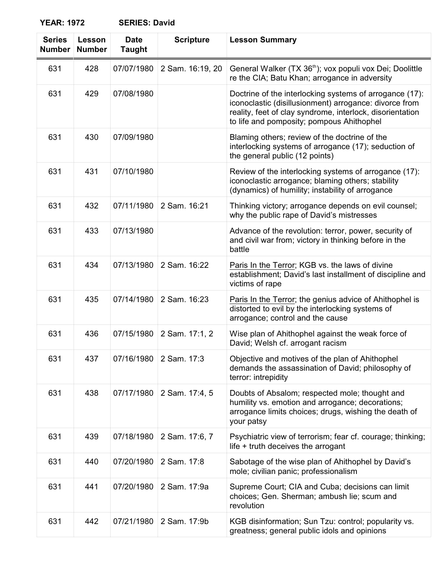| <b>Series</b><br><b>Number</b> | Lesson<br><b>Number</b> | <b>Date</b><br><b>Taught</b> | <b>Scripture</b> | <b>Lesson Summary</b>                                                                                                                                                                                                       |
|--------------------------------|-------------------------|------------------------------|------------------|-----------------------------------------------------------------------------------------------------------------------------------------------------------------------------------------------------------------------------|
| 631                            | 428                     | 07/07/1980                   | 2 Sam. 16:19, 20 | General Walker (TX 36 <sup>th</sup> ); vox populi vox Dei; Doolittle<br>re the CIA; Batu Khan; arrogance in adversity                                                                                                       |
| 631                            | 429                     | 07/08/1980                   |                  | Doctrine of the interlocking systems of arrogance (17):<br>iconoclastic (disillusionment) arrogance: divorce from<br>reality, feet of clay syndrome, interlock, disorientation<br>to life and pomposity; pompous Ahithophel |
| 631                            | 430                     | 07/09/1980                   |                  | Blaming others; review of the doctrine of the<br>interlocking systems of arrogance (17); seduction of<br>the general public (12 points)                                                                                     |
| 631                            | 431                     | 07/10/1980                   |                  | Review of the interlocking systems of arrogance (17):<br>iconoclastic arrogance; blaming others; stability<br>(dynamics) of humility; instability of arrogance                                                              |
| 631                            | 432                     | 07/11/1980                   | 2 Sam. 16:21     | Thinking victory; arrogance depends on evil counsel;<br>why the public rape of David's mistresses                                                                                                                           |
| 631                            | 433                     | 07/13/1980                   |                  | Advance of the revolution: terror, power, security of<br>and civil war from; victory in thinking before in the<br>battle                                                                                                    |
| 631                            | 434                     | 07/13/1980                   | 2 Sam. 16:22     | Paris In the Terror; KGB vs. the laws of divine<br>establishment; David's last installment of discipline and<br>victims of rape                                                                                             |
| 631                            | 435                     | 07/14/1980                   | 2 Sam. 16:23     | Paris In the Terror; the genius advice of Ahithophel is<br>distorted to evil by the interlocking systems of<br>arrogance; control and the cause                                                                             |
| 631                            | 436                     | 07/15/1980                   | 2 Sam. 17:1, 2   | Wise plan of Ahithophel against the weak force of<br>David; Welsh cf. arrogant racism                                                                                                                                       |
| 631                            | 437                     | 07/16/1980                   | 2 Sam. 17:3      | Objective and motives of the plan of Ahithophel<br>demands the assassination of David; philosophy of<br>terror: intrepidity                                                                                                 |
| 631                            | 438                     | 07/17/1980                   | 2 Sam. 17:4, 5   | Doubts of Absalom; respected mole; thought and<br>humility vs. emotion and arrogance; decorations;<br>arrogance limits choices; drugs, wishing the death of<br>your patsy                                                   |
| 631                            | 439                     | 07/18/1980                   | 2 Sam. 17:6, 7   | Psychiatric view of terrorism; fear cf. courage; thinking;<br>life + truth deceives the arrogant                                                                                                                            |
| 631                            | 440                     | 07/20/1980                   | 2 Sam. 17:8      | Sabotage of the wise plan of Ahithophel by David's<br>mole; civilian panic; professionalism                                                                                                                                 |
| 631                            | 441                     | 07/20/1980                   | 2 Sam. 17:9a     | Supreme Court; CIA and Cuba; decisions can limit<br>choices; Gen. Sherman; ambush lie; scum and<br>revolution                                                                                                               |
| 631                            | 442                     | 07/21/1980                   | 2 Sam. 17:9b     | KGB disinformation; Sun Tzu: control; popularity vs.<br>greatness; general public idols and opinions                                                                                                                        |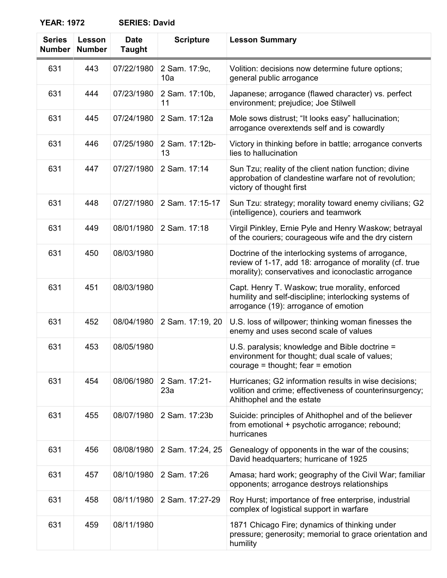# **YEAR: 1972**

| <b>SERIES: David</b> |  |
|----------------------|--|
|----------------------|--|

| <b>Series</b><br><b>Number</b> | Lesson<br><b>Number</b> | <b>Date</b><br><b>Taught</b> | <b>Scripture</b>     | <b>Lesson Summary</b>                                                                                                                                                |
|--------------------------------|-------------------------|------------------------------|----------------------|----------------------------------------------------------------------------------------------------------------------------------------------------------------------|
| 631                            | 443                     | 07/22/1980                   | 2 Sam. 17:9c,<br>10a | Volition: decisions now determine future options;<br>general public arrogance                                                                                        |
| 631                            | 444                     | 07/23/1980                   | 2 Sam. 17:10b,<br>11 | Japanese; arrogance (flawed character) vs. perfect<br>environment; prejudice; Joe Stilwell                                                                           |
| 631                            | 445                     | 07/24/1980                   | 2 Sam. 17:12a        | Mole sows distrust; "It looks easy" hallucination;<br>arrogance overextends self and is cowardly                                                                     |
| 631                            | 446                     | 07/25/1980                   | 2 Sam. 17:12b-<br>13 | Victory in thinking before in battle; arrogance converts<br>lies to hallucination                                                                                    |
| 631                            | 447                     | 07/27/1980                   | 2 Sam. 17:14         | Sun Tzu; reality of the client nation function; divine<br>approbation of clandestine warfare not of revolution;<br>victory of thought first                          |
| 631                            | 448                     | 07/27/1980                   | 2 Sam. 17:15-17      | Sun Tzu: strategy; morality toward enemy civilians; G2<br>(intelligence), couriers and teamwork                                                                      |
| 631                            | 449                     | 08/01/1980                   | 2 Sam. 17:18         | Virgil Pinkley, Ernie Pyle and Henry Waskow; betrayal<br>of the couriers; courageous wife and the dry cistern                                                        |
| 631                            | 450                     | 08/03/1980                   |                      | Doctrine of the interlocking systems of arrogance,<br>review of 1-17, add 18: arrogance of morality (cf. true<br>morality); conservatives and iconoclastic arrogance |
| 631                            | 451                     | 08/03/1980                   |                      | Capt. Henry T. Waskow; true morality, enforced<br>humility and self-discipline; interlocking systems of<br>arrogance (19): arrogance of emotion                      |
| 631                            | 452                     | 08/04/1980                   | 2 Sam. 17:19, 20     | U.S. loss of willpower; thinking woman finesses the<br>enemy and uses second scale of values                                                                         |
| 631                            | 453                     | 08/05/1980                   |                      | U.S. paralysis; knowledge and Bible doctrine =<br>environment for thought; dual scale of values;<br>courage = thought; $fear =$ emotion                              |
| 631                            | 454                     | 08/06/1980                   | 2 Sam. 17:21-<br>23a | Hurricanes; G2 information results in wise decisions;<br>volition and crime; effectiveness of counterinsurgency;<br>Ahithophel and the estate                        |
| 631                            | 455                     | 08/07/1980                   | 2 Sam. 17:23b        | Suicide: principles of Ahithophel and of the believer<br>from emotional + psychotic arrogance; rebound;<br>hurricanes                                                |
| 631                            | 456                     | 08/08/1980                   | 2 Sam. 17:24, 25     | Genealogy of opponents in the war of the cousins;<br>David headquarters; hurricane of 1925                                                                           |
| 631                            | 457                     | 08/10/1980                   | 2 Sam. 17:26         | Amasa; hard work; geography of the Civil War; familiar<br>opponents; arrogance destroys relationships                                                                |
| 631                            | 458                     | 08/11/1980                   | 2 Sam. 17:27-29      | Roy Hurst; importance of free enterprise, industrial<br>complex of logistical support in warfare                                                                     |
| 631                            | 459                     | 08/11/1980                   |                      | 1871 Chicago Fire; dynamics of thinking under<br>pressure; generosity; memorial to grace orientation and<br>humility                                                 |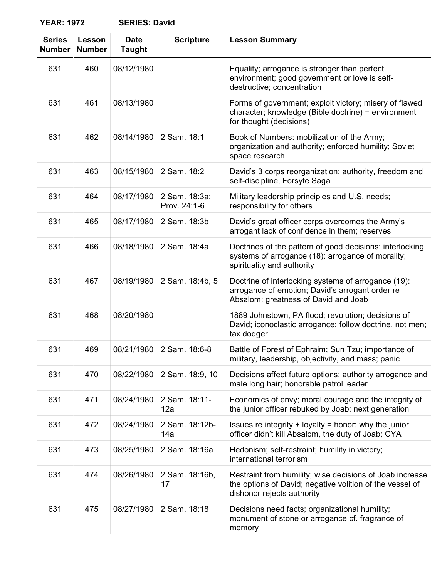**YEAR: 1972** 

| <b>SERIES: David</b> |  |
|----------------------|--|
|----------------------|--|

| <b>Series</b><br><b>Number</b> | Lesson<br><b>Number</b> | <b>Date</b><br><b>Taught</b> | <b>Scripture</b>              | <b>Lesson Summary</b>                                                                                                                              |
|--------------------------------|-------------------------|------------------------------|-------------------------------|----------------------------------------------------------------------------------------------------------------------------------------------------|
| 631                            | 460                     | 08/12/1980                   |                               | Equality; arrogance is stronger than perfect<br>environment; good government or love is self-<br>destructive; concentration                        |
| 631                            | 461                     | 08/13/1980                   |                               | Forms of government; exploit victory; misery of flawed<br>character; knowledge (Bible doctrine) = environment<br>for thought (decisions)           |
| 631                            | 462                     | 08/14/1980                   | 2 Sam. 18:1                   | Book of Numbers: mobilization of the Army;<br>organization and authority; enforced humility; Soviet<br>space research                              |
| 631                            | 463                     | 08/15/1980                   | 2 Sam. 18:2                   | David's 3 corps reorganization; authority, freedom and<br>self-discipline, Forsyte Saga                                                            |
| 631                            | 464                     | 08/17/1980                   | 2 Sam. 18:3a;<br>Prov. 24:1-6 | Military leadership principles and U.S. needs;<br>responsibility for others                                                                        |
| 631                            | 465                     | 08/17/1980                   | 2 Sam. 18:3b                  | David's great officer corps overcomes the Army's<br>arrogant lack of confidence in them; reserves                                                  |
| 631                            | 466                     | 08/18/1980                   | 2 Sam. 18:4a                  | Doctrines of the pattern of good decisions; interlocking<br>systems of arrogance (18): arrogance of morality;<br>spirituality and authority        |
| 631                            | 467                     | 08/19/1980                   | 2 Sam. 18:4b, 5               | Doctrine of interlocking systems of arrogance (19):<br>arrogance of emotion; David's arrogant order re<br>Absalom; greatness of David and Joab     |
| 631                            | 468                     | 08/20/1980                   |                               | 1889 Johnstown, PA flood; revolution; decisions of<br>David; iconoclastic arrogance: follow doctrine, not men;<br>tax dodger                       |
| 631                            | 469                     | 08/21/1980                   | 2 Sam. 18:6-8                 | Battle of Forest of Ephraim; Sun Tzu; importance of<br>military, leadership, objectivity, and mass; panic                                          |
| 631                            | 470                     | 08/22/1980                   | 2 Sam. 18:9, 10               | Decisions affect future options; authority arrogance and<br>male long hair; honorable patrol leader                                                |
| 631                            | 471                     | 08/24/1980                   | 2 Sam. 18:11-<br>12a          | Economics of envy; moral courage and the integrity of<br>the junior officer rebuked by Joab; next generation                                       |
| 631                            | 472                     | 08/24/1980                   | 2 Sam. 18:12b-<br>14a         | Issues re integrity $+$ loyalty = honor; why the junior<br>officer didn't kill Absalom, the duty of Joab; CYA                                      |
| 631                            | 473                     | 08/25/1980                   | 2 Sam. 18:16a                 | Hedonism; self-restraint; humility in victory;<br>international terrorism                                                                          |
| 631                            | 474                     | 08/26/1980                   | 2 Sam. 18:16b,<br>17          | Restraint from humility; wise decisions of Joab increase<br>the options of David; negative volition of the vessel of<br>dishonor rejects authority |
| 631                            | 475                     | 08/27/1980                   | 2 Sam. 18:18                  | Decisions need facts; organizational humility;<br>monument of stone or arrogance cf. fragrance of<br>memory                                        |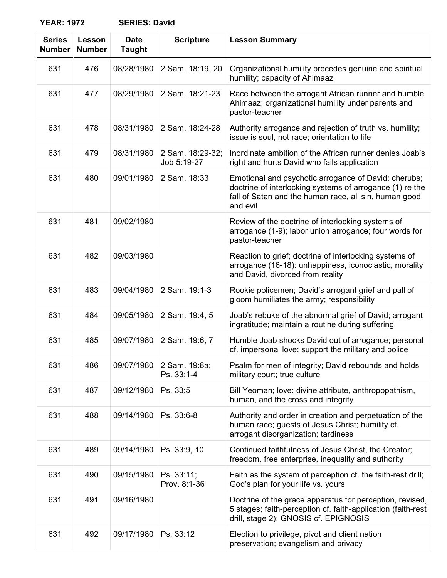| <b>Series</b><br><b>Number</b> | Lesson<br><b>Number</b> | <b>Date</b><br><b>Taught</b> | <b>Scripture</b>                | <b>Lesson Summary</b>                                                                                                                                                                 |
|--------------------------------|-------------------------|------------------------------|---------------------------------|---------------------------------------------------------------------------------------------------------------------------------------------------------------------------------------|
| 631                            | 476                     | 08/28/1980                   | 2 Sam. 18:19, 20                | Organizational humility precedes genuine and spiritual<br>humility; capacity of Ahimaaz                                                                                               |
| 631                            | 477                     | 08/29/1980                   | 2 Sam. 18:21-23                 | Race between the arrogant African runner and humble<br>Ahimaaz; organizational humility under parents and<br>pastor-teacher                                                           |
| 631                            | 478                     | 08/31/1980                   | 2 Sam. 18:24-28                 | Authority arrogance and rejection of truth vs. humility;<br>issue is soul, not race; orientation to life                                                                              |
| 631                            | 479                     | 08/31/1980                   | 2 Sam. 18:29-32;<br>Job 5:19-27 | Inordinate ambition of the African runner denies Joab's<br>right and hurts David who fails application                                                                                |
| 631                            | 480                     | 09/01/1980                   | 2 Sam. 18:33                    | Emotional and psychotic arrogance of David; cherubs;<br>doctrine of interlocking systems of arrogance (1) re the<br>fall of Satan and the human race, all sin, human good<br>and evil |
| 631                            | 481                     | 09/02/1980                   |                                 | Review of the doctrine of interlocking systems of<br>arrogance (1-9); labor union arrogance; four words for<br>pastor-teacher                                                         |
| 631                            | 482                     | 09/03/1980                   |                                 | Reaction to grief; doctrine of interlocking systems of<br>arrogance (16-18): unhappiness, iconoclastic, morality<br>and David, divorced from reality                                  |
| 631                            | 483                     | 09/04/1980                   | 2 Sam. 19:1-3                   | Rookie policemen; David's arrogant grief and pall of<br>gloom humiliates the army; responsibility                                                                                     |
| 631                            | 484                     | 09/05/1980                   | 2 Sam. 19:4, 5                  | Joab's rebuke of the abnormal grief of David; arrogant<br>ingratitude; maintain a routine during suffering                                                                            |
| 631                            | 485                     | 09/07/1980                   | 2 Sam. 19:6, 7                  | Humble Joab shocks David out of arrogance; personal<br>cf. impersonal love; support the military and police                                                                           |
| 631                            | 486                     | 09/07/1980                   | 2 Sam. 19:8a;<br>Ps. 33:1-4     | Psalm for men of integrity; David rebounds and holds<br>military court; true culture                                                                                                  |
| 631                            | 487                     | 09/12/1980                   | Ps. 33:5                        | Bill Yeoman; love: divine attribute, anthropopathism,<br>human, and the cross and integrity                                                                                           |
| 631                            | 488                     | 09/14/1980                   | Ps. 33:6-8                      | Authority and order in creation and perpetuation of the<br>human race; guests of Jesus Christ; humility cf.<br>arrogant disorganization; tardiness                                    |
| 631                            | 489                     | 09/14/1980                   | Ps. 33:9, 10                    | Continued faithfulness of Jesus Christ, the Creator;<br>freedom, free enterprise, inequality and authority                                                                            |
| 631                            | 490                     | 09/15/1980                   | Ps. 33:11;<br>Prov. 8:1-36      | Faith as the system of perception cf. the faith-rest drill;<br>God's plan for your life vs. yours                                                                                     |
| 631                            | 491                     | 09/16/1980                   |                                 | Doctrine of the grace apparatus for perception, revised,<br>5 stages; faith-perception cf. faith-application (faith-rest<br>drill, stage 2); GNOSIS cf. EPIGNOSIS                     |
| 631                            | 492                     | 09/17/1980                   | Ps. 33:12                       | Election to privilege, pivot and client nation<br>preservation; evangelism and privacy                                                                                                |